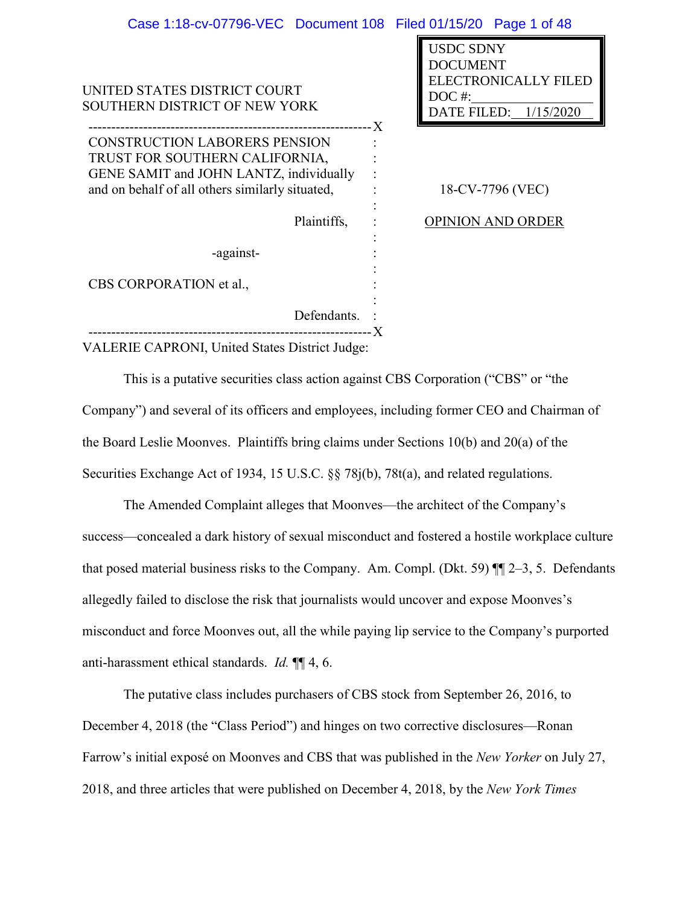|             | Case 1:18-cv-07796-VEC Document 108 Filed 01/15/20 Page 1 of 48                                             |
|-------------|-------------------------------------------------------------------------------------------------------------|
|             | <b>USDC SDNY</b><br>DOCUMENT<br><b>ELECTRONICALLY FILED</b><br>DOC <sup>#:</sup><br>DATE FILED: $1/15/2020$ |
|             | 18-CV-7796 (VEC)                                                                                            |
|             | <b>OPINION AND ORDER</b>                                                                                    |
|             |                                                                                                             |
|             |                                                                                                             |
| Defendants. |                                                                                                             |
|             |                                                                                                             |

VALERIE CAPRONI, United States District Judge:

This is a putative securities class action against CBS Corporation ("CBS" or "the Company") and several of its officers and employees, including former CEO and Chairman of the Board Leslie Moonves. Plaintiffs bring claims under Sections 10(b) and 20(a) of the Securities Exchange Act of 1934, 15 U.S.C. §§ 78j(b), 78t(a), and related regulations.

The Amended Complaint alleges that Moonves—the architect of the Company's success—concealed a dark history of sexual misconduct and fostered a hostile workplace culture that posed material business risks to the Company. Am. Compl. (Dkt. 59) ¶¶ 2–3, 5. Defendants allegedly failed to disclose the risk that journalists would uncover and expose Moonves's misconduct and force Moonves out, all the while paying lip service to the Company's purported anti-harassment ethical standards. *Id.* ¶¶ 4, 6.

The putative class includes purchasers of CBS stock from September 26, 2016, to December 4, 2018 (the "Class Period") and hinges on two corrective disclosures—Ronan Farrow's initial exposé on Moonves and CBS that was published in the *New Yorker* on July 27, 2018, and three articles that were published on December 4, 2018, by the *New York Times*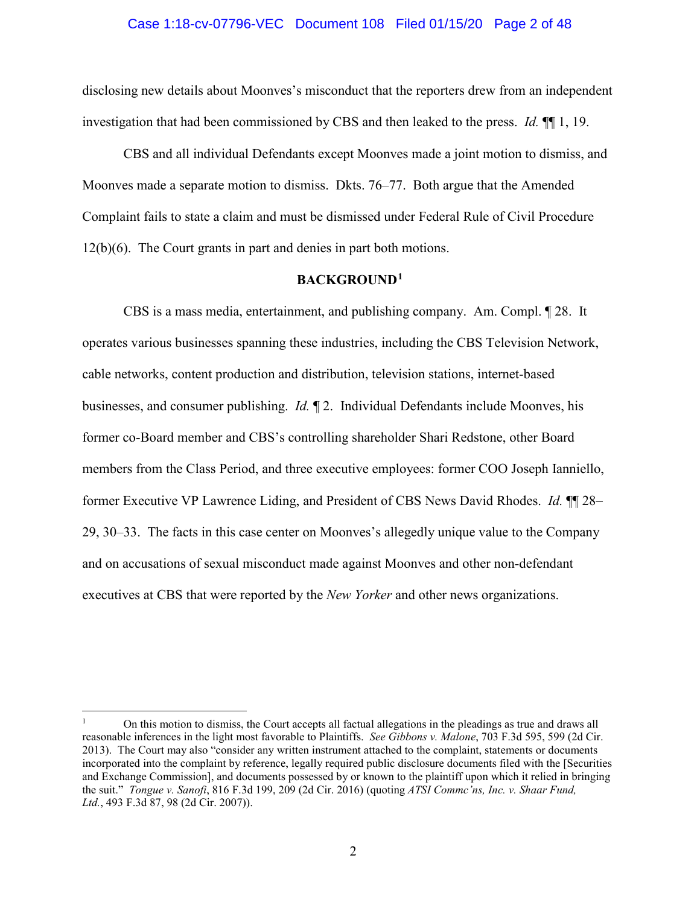# Case 1:18-cv-07796-VEC Document 108 Filed 01/15/20 Page 2 of 48

disclosing new details about Moonves's misconduct that the reporters drew from an independent investigation that had been commissioned by CBS and then leaked to the press. *Id.* ¶¶ 1, 19.

CBS and all individual Defendants except Moonves made a joint motion to dismiss, and Moonves made a separate motion to dismiss. Dkts. 76–77. Both argue that the Amended Complaint fails to state a claim and must be dismissed under Federal Rule of Civil Procedure 12(b)(6). The Court grants in part and denies in part both motions.

# **BACKGROUND1**

CBS is a mass media, entertainment, and publishing company. Am. Compl. ¶ 28. It operates various businesses spanning these industries, including the CBS Television Network, cable networks, content production and distribution, television stations, internet-based businesses, and consumer publishing. *Id.* ¶ 2. Individual Defendants include Moonves, his former co-Board member and CBS's controlling shareholder Shari Redstone, other Board members from the Class Period, and three executive employees: former COO Joseph Ianniello, former Executive VP Lawrence Liding, and President of CBS News David Rhodes. *Id.* ¶¶ 28– 29, 30–33. The facts in this case center on Moonves's allegedly unique value to the Company and on accusations of sexual misconduct made against Moonves and other non-defendant executives at CBS that were reported by the *New Yorker* and other news organizations.

<sup>1</sup> On this motion to dismiss, the Court accepts all factual allegations in the pleadings as true and draws all reasonable inferences in the light most favorable to Plaintiffs. *See Gibbons v. Malone*, 703 F.3d 595, 599 (2d Cir. 2013). The Court may also "consider any written instrument attached to the complaint, statements or documents incorporated into the complaint by reference, legally required public disclosure documents filed with the [Securities and Exchange Commission], and documents possessed by or known to the plaintiff upon which it relied in bringing the suit." *Tongue v. Sanofi*, 816 F.3d 199, 209 (2d Cir. 2016) (quoting *ATSI Commc'ns, Inc. v. Shaar Fund, Ltd.*, 493 F.3d 87, 98 (2d Cir. 2007)).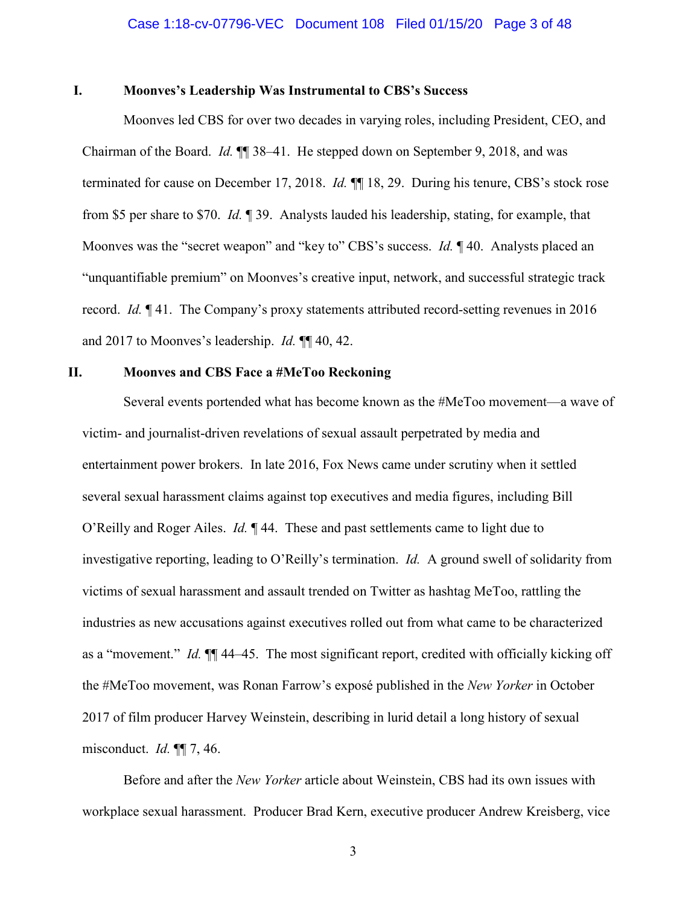# **I. Moonves's Leadership Was Instrumental to CBS's Success**

Moonves led CBS for over two decades in varying roles, including President, CEO, and Chairman of the Board. *Id.* ¶¶ 38–41. He stepped down on September 9, 2018, and was terminated for cause on December 17, 2018. *Id.* ¶¶ 18, 29. During his tenure, CBS's stock rose from \$5 per share to \$70. *Id.* ¶ 39. Analysts lauded his leadership, stating, for example, that Moonves was the "secret weapon" and "key to" CBS's success. *Id.* ¶ 40. Analysts placed an "unquantifiable premium" on Moonves's creative input, network, and successful strategic track record. *Id.* ¶ 41. The Company's proxy statements attributed record-setting revenues in 2016 and 2017 to Moonves's leadership. *Id.* ¶¶ 40, 42.

# **II. Moonves and CBS Face a #MeToo Reckoning**

Several events portended what has become known as the #MeToo movement—a wave of victim- and journalist-driven revelations of sexual assault perpetrated by media and entertainment power brokers. In late 2016, Fox News came under scrutiny when it settled several sexual harassment claims against top executives and media figures, including Bill O'Reilly and Roger Ailes. *Id.* ¶ 44. These and past settlements came to light due to investigative reporting, leading to O'Reilly's termination. *Id.* A ground swell of solidarity from victims of sexual harassment and assault trended on Twitter as hashtag MeToo, rattling the industries as new accusations against executives rolled out from what came to be characterized as a "movement." *Id.* ¶¶ 44–45. The most significant report, credited with officially kicking off the #MeToo movement, was Ronan Farrow's exposé published in the *New Yorker* in October 2017 of film producer Harvey Weinstein, describing in lurid detail a long history of sexual misconduct. *Id.* ¶¶ 7, 46.

Before and after the *New Yorker* article about Weinstein, CBS had its own issues with workplace sexual harassment. Producer Brad Kern, executive producer Andrew Kreisberg, vice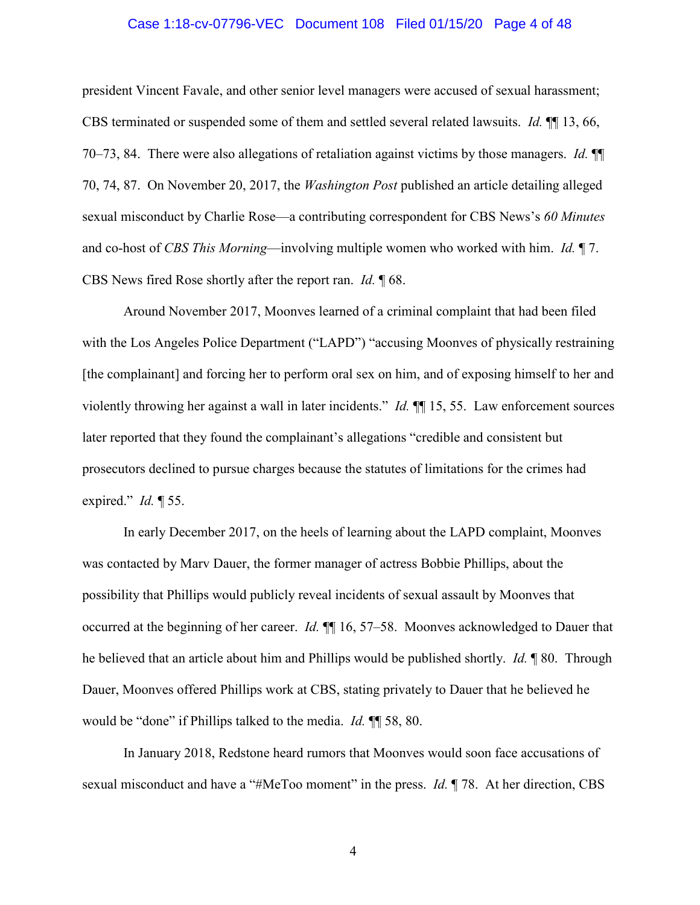### Case 1:18-cv-07796-VEC Document 108 Filed 01/15/20 Page 4 of 48

president Vincent Favale, and other senior level managers were accused of sexual harassment; CBS terminated or suspended some of them and settled several related lawsuits. *Id.* ¶¶ 13, 66, 70–73, 84. There were also allegations of retaliation against victims by those managers. *Id.* ¶¶ 70, 74, 87. On November 20, 2017, the *Washington Post* published an article detailing alleged sexual misconduct by Charlie Rose—a contributing correspondent for CBS News's *60 Minutes*  and co-host of *CBS This Morning*—involving multiple women who worked with him. *Id.* ¶ 7. CBS News fired Rose shortly after the report ran. *Id.* ¶ 68.

Around November 2017, Moonves learned of a criminal complaint that had been filed with the Los Angeles Police Department ("LAPD") "accusing Moonves of physically restraining [the complainant] and forcing her to perform oral sex on him, and of exposing himself to her and violently throwing her against a wall in later incidents." *Id.* ¶¶ 15, 55. Law enforcement sources later reported that they found the complainant's allegations "credible and consistent but prosecutors declined to pursue charges because the statutes of limitations for the crimes had expired." *Id.* ¶ 55.

In early December 2017, on the heels of learning about the LAPD complaint, Moonves was contacted by Marv Dauer, the former manager of actress Bobbie Phillips, about the possibility that Phillips would publicly reveal incidents of sexual assault by Moonves that occurred at the beginning of her career. *Id.* ¶¶ 16, 57–58. Moonves acknowledged to Dauer that he believed that an article about him and Phillips would be published shortly. *Id.* ¶ 80. Through Dauer, Moonves offered Phillips work at CBS, stating privately to Dauer that he believed he would be "done" if Phillips talked to the media. *Id.* ¶¶ 58, 80.

In January 2018, Redstone heard rumors that Moonves would soon face accusations of sexual misconduct and have a "#MeToo moment" in the press. *Id.* ¶ 78. At her direction, CBS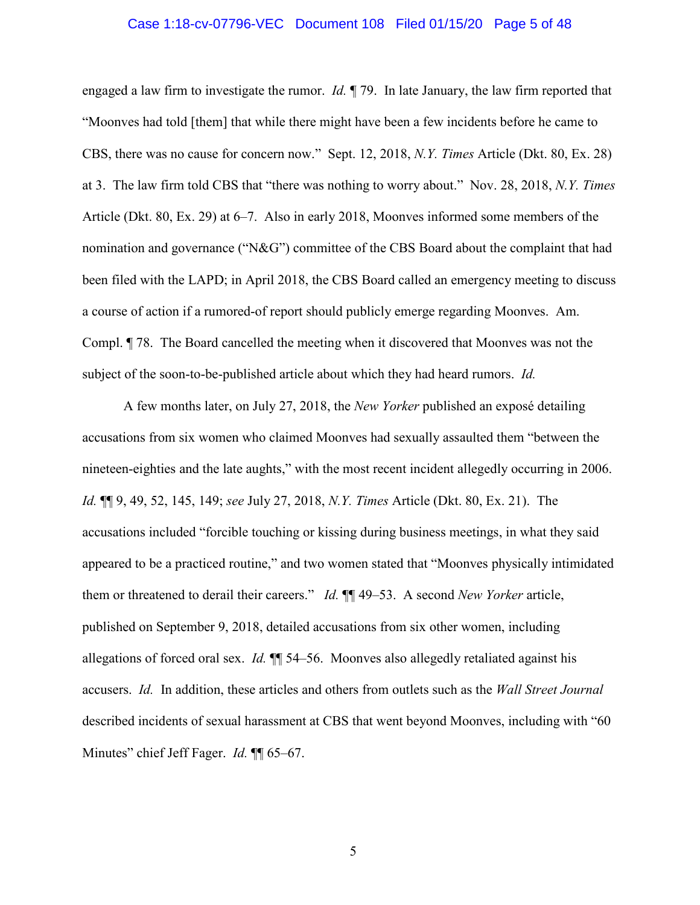### Case 1:18-cv-07796-VEC Document 108 Filed 01/15/20 Page 5 of 48

engaged a law firm to investigate the rumor. *Id.* ¶ 79. In late January, the law firm reported that "Moonves had told [them] that while there might have been a few incidents before he came to CBS, there was no cause for concern now." Sept. 12, 2018, *N.Y. Times* Article (Dkt. 80, Ex. 28) at 3. The law firm told CBS that "there was nothing to worry about." Nov. 28, 2018, *N.Y. Times* Article (Dkt. 80, Ex. 29) at 6–7. Also in early 2018, Moonves informed some members of the nomination and governance ("N&G") committee of the CBS Board about the complaint that had been filed with the LAPD; in April 2018, the CBS Board called an emergency meeting to discuss a course of action if a rumored-of report should publicly emerge regarding Moonves. Am. Compl. ¶ 78. The Board cancelled the meeting when it discovered that Moonves was not the subject of the soon-to-be-published article about which they had heard rumors. *Id.*

A few months later, on July 27, 2018, the *New Yorker* published an exposé detailing accusations from six women who claimed Moonves had sexually assaulted them "between the nineteen-eighties and the late aughts," with the most recent incident allegedly occurring in 2006. *Id.* ¶¶ 9, 49, 52, 145, 149; *see* July 27, 2018, *N.Y. Times* Article (Dkt. 80, Ex. 21). The accusations included "forcible touching or kissing during business meetings, in what they said appeared to be a practiced routine," and two women stated that "Moonves physically intimidated them or threatened to derail their careers." *Id.* ¶¶ 49–53. A second *New Yorker* article, published on September 9, 2018, detailed accusations from six other women, including allegations of forced oral sex. *Id.* ¶¶ 54–56. Moonves also allegedly retaliated against his accusers. *Id.* In addition, these articles and others from outlets such as the *Wall Street Journal*  described incidents of sexual harassment at CBS that went beyond Moonves, including with "60 Minutes" chief Jeff Fager. *Id.* **¶** 65–67.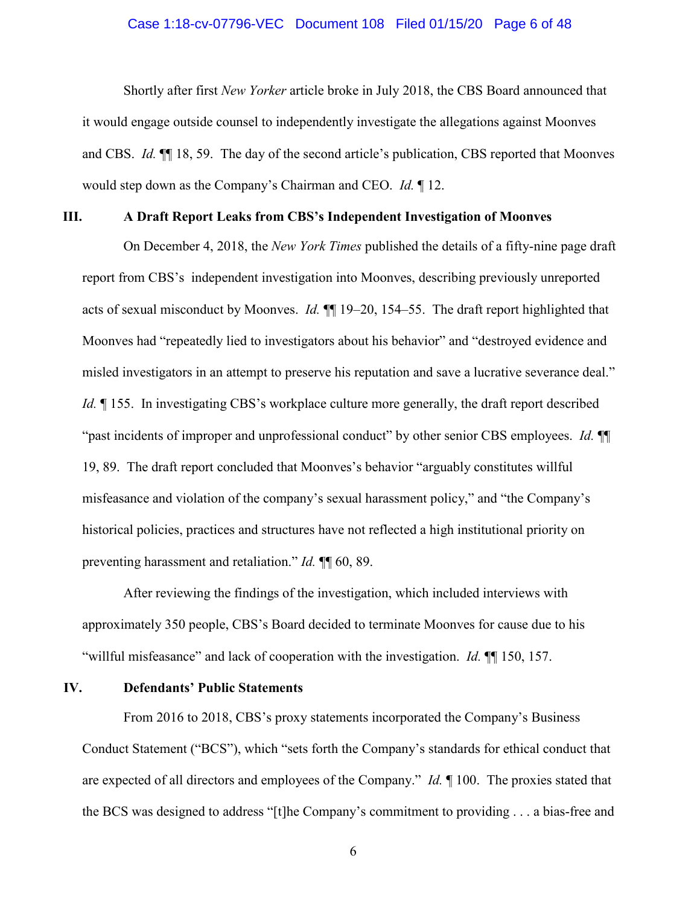### Case 1:18-cv-07796-VEC Document 108 Filed 01/15/20 Page 6 of 48

Shortly after first *New Yorker* article broke in July 2018, the CBS Board announced that it would engage outside counsel to independently investigate the allegations against Moonves and CBS. *Id.* ¶¶ 18, 59. The day of the second article's publication, CBS reported that Moonves would step down as the Company's Chairman and CEO. *Id.* ¶ 12.

#### **III. A Draft Report Leaks from CBS's Independent Investigation of Moonves**

On December 4, 2018, the *New York Times* published the details of a fifty-nine page draft report from CBS's independent investigation into Moonves, describing previously unreported acts of sexual misconduct by Moonves. *Id.* ¶¶ 19–20, 154–55. The draft report highlighted that Moonves had "repeatedly lied to investigators about his behavior" and "destroyed evidence and misled investigators in an attempt to preserve his reputation and save a lucrative severance deal." *Id.*  $\parallel$  155. In investigating CBS's workplace culture more generally, the draft report described "past incidents of improper and unprofessional conduct" by other senior CBS employees. *Id.* ¶¶ 19, 89. The draft report concluded that Moonves's behavior "arguably constitutes willful misfeasance and violation of the company's sexual harassment policy," and "the Company's historical policies, practices and structures have not reflected a high institutional priority on preventing harassment and retaliation." *Id.* ¶¶ 60, 89.

After reviewing the findings of the investigation, which included interviews with approximately 350 people, CBS's Board decided to terminate Moonves for cause due to his "willful misfeasance" and lack of cooperation with the investigation. *Id.* ¶¶ 150, 157.

# **IV. Defendants' Public Statements**

From 2016 to 2018, CBS's proxy statements incorporated the Company's Business Conduct Statement ("BCS"), which "sets forth the Company's standards for ethical conduct that are expected of all directors and employees of the Company." *Id.* ¶ 100. The proxies stated that the BCS was designed to address "[t]he Company's commitment to providing . . . a bias-free and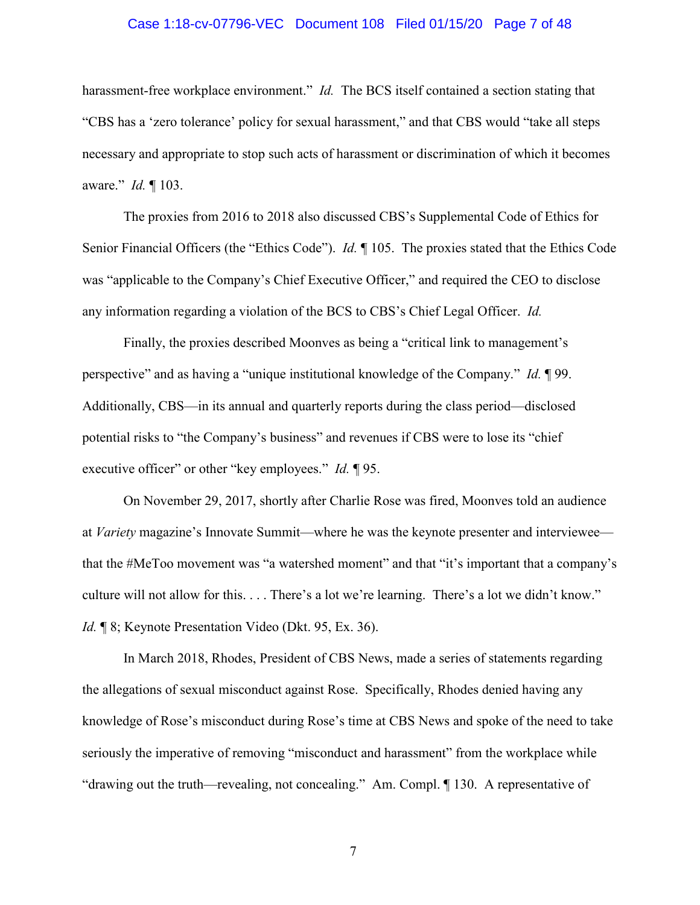### Case 1:18-cv-07796-VEC Document 108 Filed 01/15/20 Page 7 of 48

harassment-free workplace environment." *Id.* The BCS itself contained a section stating that "CBS has a 'zero tolerance' policy for sexual harassment," and that CBS would "take all steps necessary and appropriate to stop such acts of harassment or discrimination of which it becomes aware." *Id.* ¶ 103.

The proxies from 2016 to 2018 also discussed CBS's Supplemental Code of Ethics for Senior Financial Officers (the "Ethics Code"). *Id.* ¶ 105. The proxies stated that the Ethics Code was "applicable to the Company's Chief Executive Officer," and required the CEO to disclose any information regarding a violation of the BCS to CBS's Chief Legal Officer. *Id.*

Finally, the proxies described Moonves as being a "critical link to management's perspective" and as having a "unique institutional knowledge of the Company." *Id.* ¶ 99. Additionally, CBS—in its annual and quarterly reports during the class period—disclosed potential risks to "the Company's business" and revenues if CBS were to lose its "chief executive officer" or other "key employees." *Id.* ¶ 95.

On November 29, 2017, shortly after Charlie Rose was fired, Moonves told an audience at *Variety* magazine's Innovate Summit—where he was the keynote presenter and interviewee that the #MeToo movement was "a watershed moment" and that "it's important that a company's culture will not allow for this. . . . There's a lot we're learning. There's a lot we didn't know." *Id.* ¶ 8; Keynote Presentation Video (Dkt. 95, Ex. 36).

In March 2018, Rhodes, President of CBS News, made a series of statements regarding the allegations of sexual misconduct against Rose. Specifically, Rhodes denied having any knowledge of Rose's misconduct during Rose's time at CBS News and spoke of the need to take seriously the imperative of removing "misconduct and harassment" from the workplace while "drawing out the truth—revealing, not concealing." Am. Compl. ¶ 130. A representative of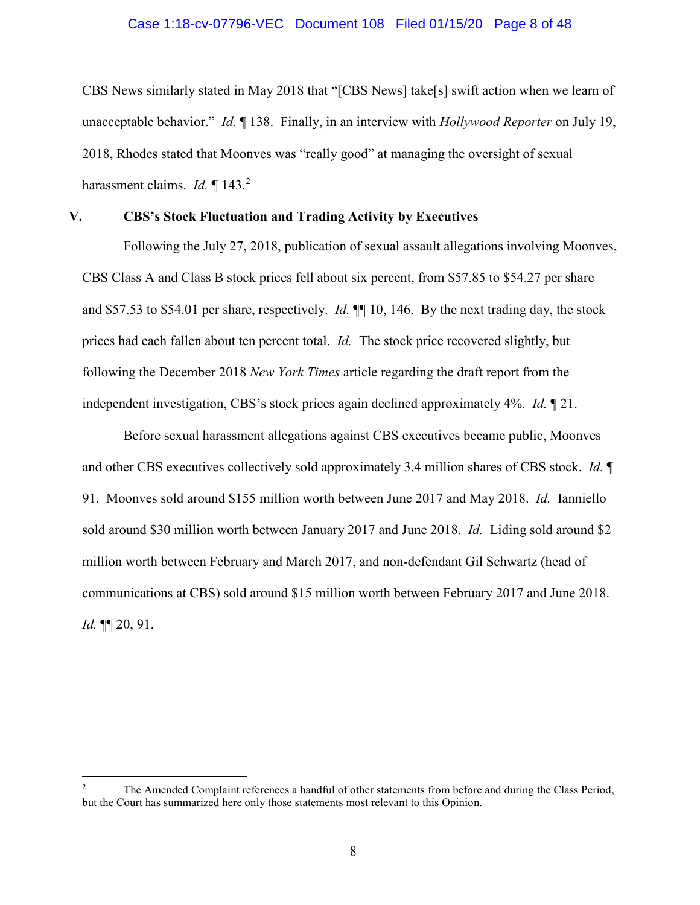### Case 1:18-cv-07796-VEC Document 108 Filed 01/15/20 Page 8 of 48

CBS News similarly stated in May 2018 that "[CBS News] take[s] swift action when we learn of unacceptable behavior." *Id.* ¶ 138. Finally, in an interview with *Hollywood Reporter* on July 19, 2018, Rhodes stated that Moonves was "really good" at managing the oversight of sexual harassment claims. *Id.* 143.<sup>2</sup>

# **V. CBS's Stock Fluctuation and Trading Activity by Executives**

Following the July 27, 2018, publication of sexual assault allegations involving Moonves, CBS Class A and Class B stock prices fell about six percent, from \$57.85 to \$54.27 per share and \$57.53 to \$54.01 per share, respectively. *Id.* ¶¶ 10, 146. By the next trading day, the stock prices had each fallen about ten percent total. *Id.* The stock price recovered slightly, but following the December 2018 *New York Times* article regarding the draft report from the independent investigation, CBS's stock prices again declined approximately 4%. *Id.* ¶ 21.

Before sexual harassment allegations against CBS executives became public, Moonves and other CBS executives collectively sold approximately 3.4 million shares of CBS stock. *Id.* ¶ 91. Moonves sold around \$155 million worth between June 2017 and May 2018. *Id.* Ianniello sold around \$30 million worth between January 2017 and June 2018. *Id.* Liding sold around \$2 million worth between February and March 2017, and non-defendant Gil Schwartz (head of communications at CBS) sold around \$15 million worth between February 2017 and June 2018. *Id.* ¶¶ 20, 91.

 $\overline{a}$ 

<sup>2</sup> The Amended Complaint references a handful of other statements from before and during the Class Period, but the Court has summarized here only those statements most relevant to this Opinion.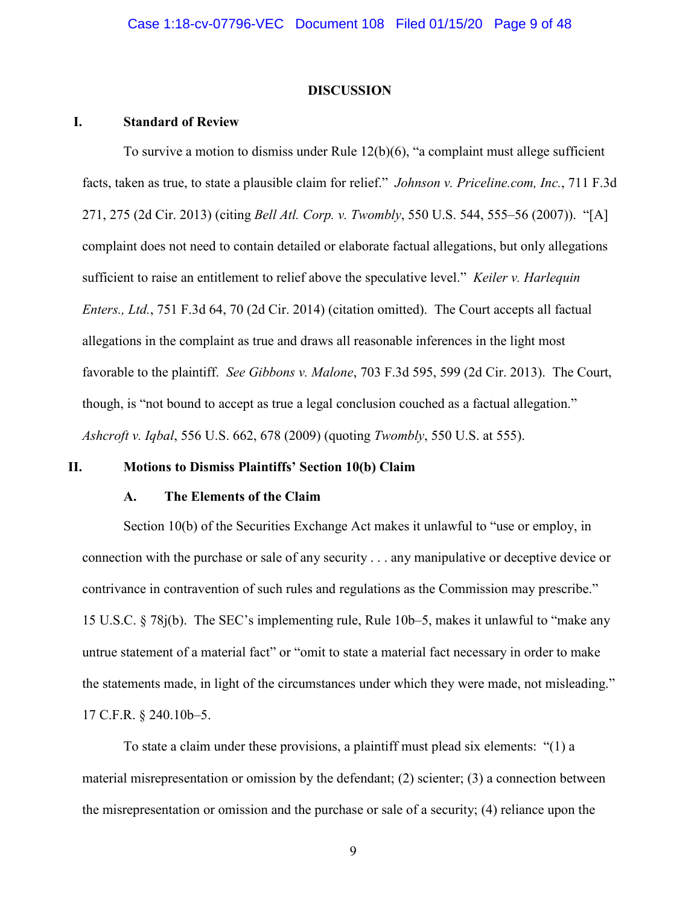#### **DISCUSSION**

### **I. Standard of Review**

To survive a motion to dismiss under Rule 12(b)(6), "a complaint must allege sufficient facts, taken as true, to state a plausible claim for relief." *Johnson v. Priceline.com, Inc.*, 711 F.3d 271, 275 (2d Cir. 2013) (citing *Bell Atl. Corp. v. Twombly*, 550 U.S. 544, 555–56 (2007)). "[A] complaint does not need to contain detailed or elaborate factual allegations, but only allegations sufficient to raise an entitlement to relief above the speculative level." *Keiler v. Harlequin Enters., Ltd.*, 751 F.3d 64, 70 (2d Cir. 2014) (citation omitted). The Court accepts all factual allegations in the complaint as true and draws all reasonable inferences in the light most favorable to the plaintiff. *See Gibbons v. Malone*, 703 F.3d 595, 599 (2d Cir. 2013). The Court, though, is "not bound to accept as true a legal conclusion couched as a factual allegation." *Ashcroft v. Iqbal*, 556 U.S. 662, 678 (2009) (quoting *Twombly*, 550 U.S. at 555).

### **II. Motions to Dismiss Plaintiffs' Section 10(b) Claim**

# **A. The Elements of the Claim**

Section 10(b) of the Securities Exchange Act makes it unlawful to "use or employ, in connection with the purchase or sale of any security . . . any manipulative or deceptive device or contrivance in contravention of such rules and regulations as the Commission may prescribe." 15 U.S.C. § 78j(b). The SEC's implementing rule, Rule 10b–5, makes it unlawful to "make any untrue statement of a material fact" or "omit to state a material fact necessary in order to make the statements made, in light of the circumstances under which they were made, not misleading." 17 C.F.R. § 240.10b–5.

To state a claim under these provisions, a plaintiff must plead six elements: "(1) a material misrepresentation or omission by the defendant; (2) scienter; (3) a connection between the misrepresentation or omission and the purchase or sale of a security; (4) reliance upon the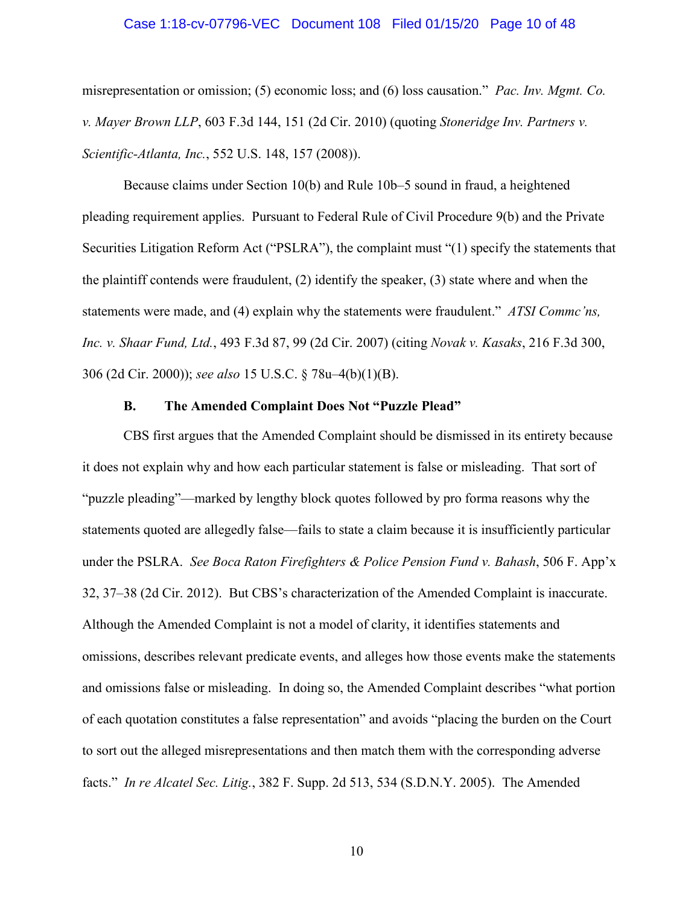### Case 1:18-cv-07796-VEC Document 108 Filed 01/15/20 Page 10 of 48

misrepresentation or omission; (5) economic loss; and (6) loss causation." *Pac. Inv. Mgmt. Co. v. Mayer Brown LLP*, 603 F.3d 144, 151 (2d Cir. 2010) (quoting *Stoneridge Inv. Partners v. Scientific-Atlanta, Inc.*, 552 U.S. 148, 157 (2008)).

Because claims under Section 10(b) and Rule 10b–5 sound in fraud, a heightened pleading requirement applies. Pursuant to Federal Rule of Civil Procedure 9(b) and the Private Securities Litigation Reform Act ("PSLRA"), the complaint must "(1) specify the statements that the plaintiff contends were fraudulent, (2) identify the speaker, (3) state where and when the statements were made, and (4) explain why the statements were fraudulent." *ATSI Commc'ns, Inc. v. Shaar Fund, Ltd.*, 493 F.3d 87, 99 (2d Cir. 2007) (citing *Novak v. Kasaks*, 216 F.3d 300, 306 (2d Cir. 2000)); *see also* 15 U.S.C. § 78u–4(b)(1)(B).

### **B. The Amended Complaint Does Not "Puzzle Plead"**

CBS first argues that the Amended Complaint should be dismissed in its entirety because it does not explain why and how each particular statement is false or misleading. That sort of "puzzle pleading"—marked by lengthy block quotes followed by pro forma reasons why the statements quoted are allegedly false—fails to state a claim because it is insufficiently particular under the PSLRA. *See Boca Raton Firefighters & Police Pension Fund v. Bahash*, 506 F. App'x 32, 37–38 (2d Cir. 2012). But CBS's characterization of the Amended Complaint is inaccurate. Although the Amended Complaint is not a model of clarity, it identifies statements and omissions, describes relevant predicate events, and alleges how those events make the statements and omissions false or misleading. In doing so, the Amended Complaint describes "what portion of each quotation constitutes a false representation" and avoids "placing the burden on the Court to sort out the alleged misrepresentations and then match them with the corresponding adverse facts." *In re Alcatel Sec. Litig.*, 382 F. Supp. 2d 513, 534 (S.D.N.Y. 2005). The Amended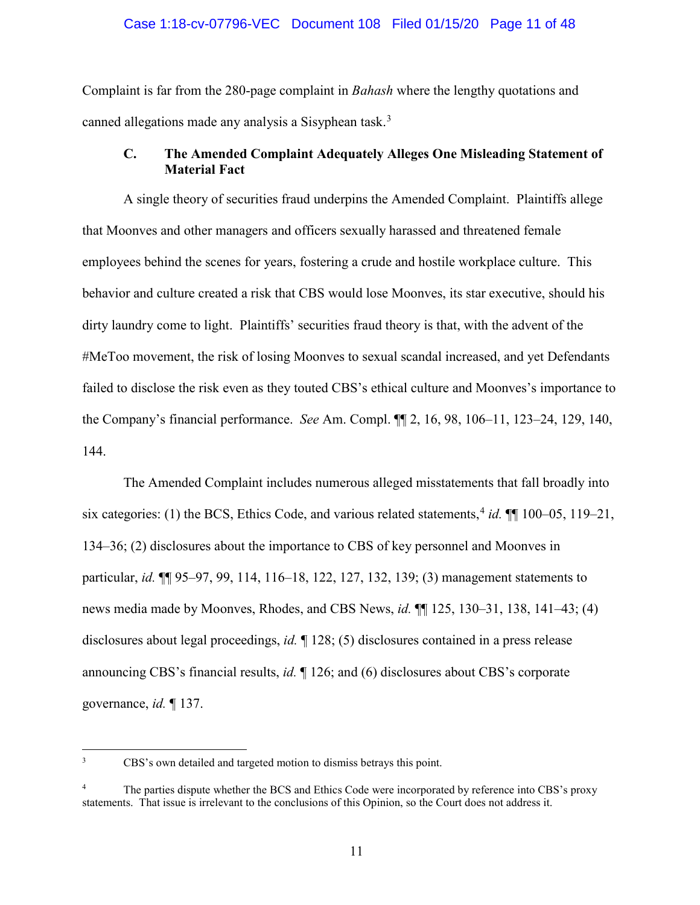### Case 1:18-cv-07796-VEC Document 108 Filed 01/15/20 Page 11 of 48

Complaint is far from the 280-page complaint in *Bahash* where the lengthy quotations and canned allegations made any analysis a Sisyphean task.<sup>3</sup>

# **C. The Amended Complaint Adequately Alleges One Misleading Statement of Material Fact**

A single theory of securities fraud underpins the Amended Complaint. Plaintiffs allege that Moonves and other managers and officers sexually harassed and threatened female employees behind the scenes for years, fostering a crude and hostile workplace culture. This behavior and culture created a risk that CBS would lose Moonves, its star executive, should his dirty laundry come to light. Plaintiffs' securities fraud theory is that, with the advent of the #MeToo movement, the risk of losing Moonves to sexual scandal increased, and yet Defendants failed to disclose the risk even as they touted CBS's ethical culture and Moonves's importance to the Company's financial performance. *See* Am. Compl. ¶¶ 2, 16, 98, 106–11, 123–24, 129, 140, 144.

The Amended Complaint includes numerous alleged misstatements that fall broadly into six categories: (1) the BCS, Ethics Code, and various related statements, <sup>4</sup> *id.* ¶¶ 100–05, 119–21, 134–36; (2) disclosures about the importance to CBS of key personnel and Moonves in particular, *id.* ¶¶ 95–97, 99, 114, 116–18, 122, 127, 132, 139; (3) management statements to news media made by Moonves, Rhodes, and CBS News, *id.* ¶¶ 125, 130–31, 138, 141–43; (4) disclosures about legal proceedings, *id.* ¶ 128; (5) disclosures contained in a press release announcing CBS's financial results, *id.* ¶ 126; and (6) disclosures about CBS's corporate governance, *id.* ¶ 137.

 $\frac{1}{3}$ CBS's own detailed and targeted motion to dismiss betrays this point.

<sup>4</sup> The parties dispute whether the BCS and Ethics Code were incorporated by reference into CBS's proxy statements. That issue is irrelevant to the conclusions of this Opinion, so the Court does not address it.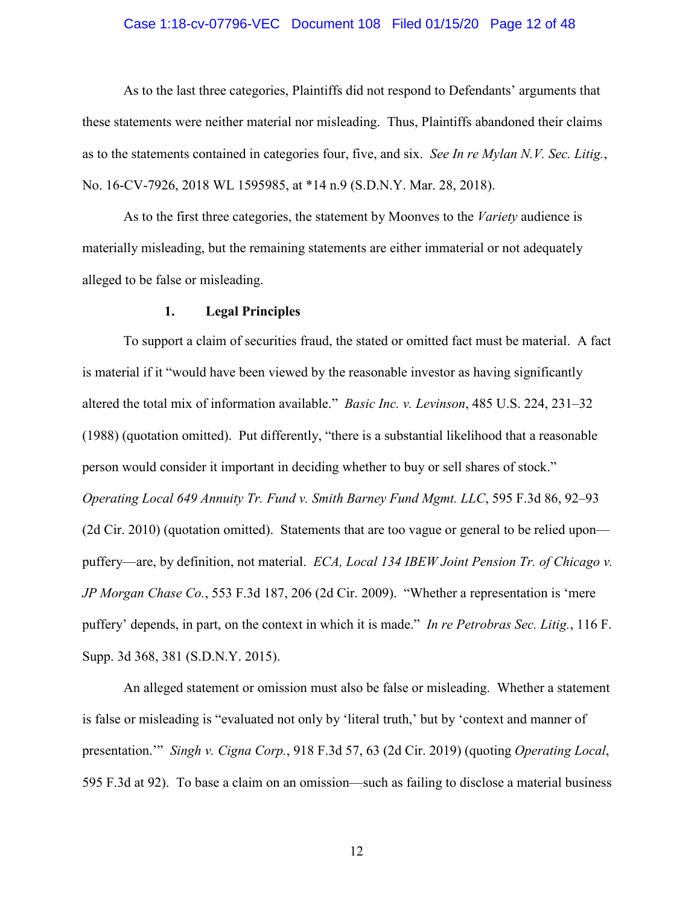### Case 1:18-cv-07796-VEC Document 108 Filed 01/15/20 Page 12 of 48

As to the last three categories, Plaintiffs did not respond to Defendants' arguments that these statements were neither material nor misleading. Thus, Plaintiffs abandoned their claims as to the statements contained in categories four, five, and six. *See In re Mylan N.V. Sec. Litig.*, No. 16-CV-7926, 2018 WL 1595985, at \*14 n.9 (S.D.N.Y. Mar. 28, 2018).

As to the first three categories, the statement by Moonves to the *Variety* audience is materially misleading, but the remaining statements are either immaterial or not adequately alleged to be false or misleading.

### **1. Legal Principles**

To support a claim of securities fraud, the stated or omitted fact must be material. A fact is material if it "would have been viewed by the reasonable investor as having significantly altered the total mix of information available." *Basic Inc. v. Levinson*, 485 U.S. 224, 231–32 (1988) (quotation omitted). Put differently, "there is a substantial likelihood that a reasonable person would consider it important in deciding whether to buy or sell shares of stock." *Operating Local 649 Annuity Tr. Fund v. Smith Barney Fund Mgmt. LLC*, 595 F.3d 86, 92–93 (2d Cir. 2010) (quotation omitted). Statements that are too vague or general to be relied upon puffery—are, by definition, not material. *ECA, Local 134 IBEW Joint Pension Tr. of Chicago v. JP Morgan Chase Co.*, 553 F.3d 187, 206 (2d Cir. 2009). "Whether a representation is 'mere puffery' depends, in part, on the context in which it is made." *In re Petrobras Sec. Litig.*, 116 F. Supp. 3d 368, 381 (S.D.N.Y. 2015).

An alleged statement or omission must also be false or misleading. Whether a statement is false or misleading is "evaluated not only by 'literal truth,' but by 'context and manner of presentation.'" *Singh v. Cigna Corp.*, 918 F.3d 57, 63 (2d Cir. 2019) (quoting *Operating Local*, 595 F.3d at 92). To base a claim on an omission—such as failing to disclose a material business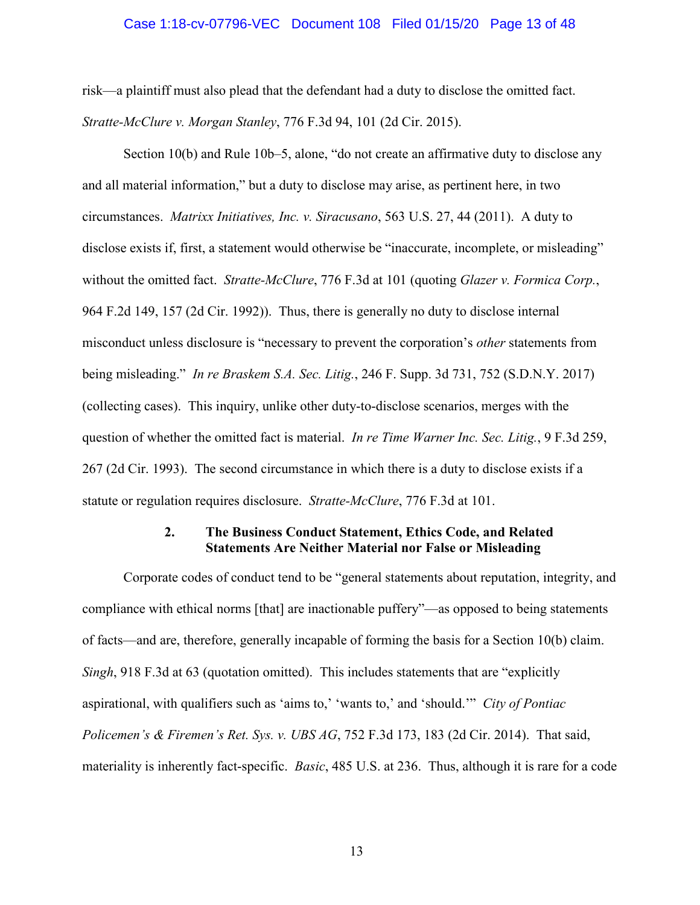### Case 1:18-cv-07796-VEC Document 108 Filed 01/15/20 Page 13 of 48

risk—a plaintiff must also plead that the defendant had a duty to disclose the omitted fact. *Stratte-McClure v. Morgan Stanley*, 776 F.3d 94, 101 (2d Cir. 2015).

Section 10(b) and Rule 10b–5, alone, "do not create an affirmative duty to disclose any and all material information," but a duty to disclose may arise, as pertinent here, in two circumstances. *Matrixx Initiatives, Inc. v. Siracusano*, 563 U.S. 27, 44 (2011). A duty to disclose exists if, first, a statement would otherwise be "inaccurate, incomplete, or misleading" without the omitted fact. *Stratte-McClure*, 776 F.3d at 101 (quoting *Glazer v. Formica Corp.*, 964 F.2d 149, 157 (2d Cir. 1992)). Thus, there is generally no duty to disclose internal misconduct unless disclosure is "necessary to prevent the corporation's *other* statements from being misleading." *In re Braskem S.A. Sec. Litig.*, 246 F. Supp. 3d 731, 752 (S.D.N.Y. 2017) (collecting cases). This inquiry, unlike other duty-to-disclose scenarios, merges with the question of whether the omitted fact is material. *In re Time Warner Inc. Sec. Litig.*, 9 F.3d 259, 267 (2d Cir. 1993). The second circumstance in which there is a duty to disclose exists if a statute or regulation requires disclosure. *Stratte-McClure*, 776 F.3d at 101.

# **2. The Business Conduct Statement, Ethics Code, and Related Statements Are Neither Material nor False or Misleading**

Corporate codes of conduct tend to be "general statements about reputation, integrity, and compliance with ethical norms [that] are inactionable puffery"—as opposed to being statements of facts—and are, therefore, generally incapable of forming the basis for a Section 10(b) claim. *Singh*, 918 F.3d at 63 (quotation omitted). This includes statements that are "explicitly aspirational, with qualifiers such as 'aims to,' 'wants to,' and 'should.'" *City of Pontiac Policemen's & Firemen's Ret. Sys. v. UBS AG*, 752 F.3d 173, 183 (2d Cir. 2014). That said, materiality is inherently fact-specific. *Basic*, 485 U.S. at 236. Thus, although it is rare for a code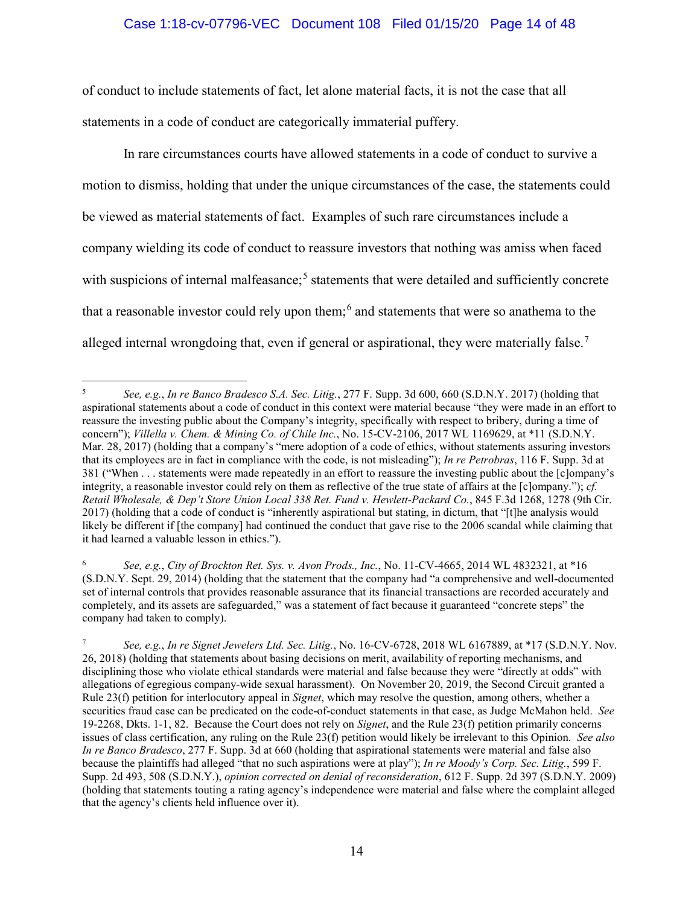# Case 1:18-cv-07796-VEC Document 108 Filed 01/15/20 Page 14 of 48

of conduct to include statements of fact, let alone material facts, it is not the case that all statements in a code of conduct are categorically immaterial puffery.

In rare circumstances courts have allowed statements in a code of conduct to survive a motion to dismiss, holding that under the unique circumstances of the case, the statements could be viewed as material statements of fact. Examples of such rare circumstances include a company wielding its code of conduct to reassure investors that nothing was amiss when faced with suspicions of internal malfeasance;<sup>5</sup> statements that were detailed and sufficiently concrete that a reasonable investor could rely upon them;<sup>6</sup> and statements that were so anathema to the alleged internal wrongdoing that, even if general or aspirational, they were materially false.<sup>7</sup>

6 *See, e.g.*, *City of Brockton Ret. Sys. v. Avon Prods., Inc.*, No. 11-CV-4665, 2014 WL 4832321, at \*16 (S.D.N.Y. Sept. 29, 2014) (holding that the statement that the company had "a comprehensive and well-documented set of internal controls that provides reasonable assurance that its financial transactions are recorded accurately and completely, and its assets are safeguarded," was a statement of fact because it guaranteed "concrete steps" the company had taken to comply).

 5 *See, e.g.*, *In re Banco Bradesco S.A. Sec. Litig.*, 277 F. Supp. 3d 600, 660 (S.D.N.Y. 2017) (holding that aspirational statements about a code of conduct in this context were material because "they were made in an effort to reassure the investing public about the Company's integrity, specifically with respect to bribery, during a time of concern"); *Villella v. Chem. & Mining Co. of Chile Inc.*, No. 15-CV-2106, 2017 WL 1169629, at \*11 (S.D.N.Y. Mar. 28, 2017) (holding that a company's "mere adoption of a code of ethics, without statements assuring investors that its employees are in fact in compliance with the code, is not misleading"); *In re Petrobras*, 116 F. Supp. 3d at 381 ("When . . . statements were made repeatedly in an effort to reassure the investing public about the [c]ompany's integrity, a reasonable investor could rely on them as reflective of the true state of affairs at the [c]ompany."); *cf. Retail Wholesale, & Dep't Store Union Local 338 Ret. Fund v. Hewlett-Packard Co.*, 845 F.3d 1268, 1278 (9th Cir. 2017) (holding that a code of conduct is "inherently aspirational but stating, in dictum, that "[t]he analysis would likely be different if [the company] had continued the conduct that gave rise to the 2006 scandal while claiming that it had learned a valuable lesson in ethics.").

<sup>7</sup> *See, e.g.*, *In re Signet Jewelers Ltd. Sec. Litig.*, No. 16-CV-6728, 2018 WL 6167889, at \*17 (S.D.N.Y. Nov. 26, 2018) (holding that statements about basing decisions on merit, availability of reporting mechanisms, and disciplining those who violate ethical standards were material and false because they were "directly at odds" with allegations of egregious company-wide sexual harassment). On November 20, 2019, the Second Circuit granted a Rule 23(f) petition for interlocutory appeal in *Signet*, which may resolve the question, among others, whether a securities fraud case can be predicated on the code-of-conduct statements in that case, as Judge McMahon held. *See*  19-2268, Dkts. 1-1, 82. Because the Court does not rely on *Signet*, and the Rule 23(f) petition primarily concerns issues of class certification, any ruling on the Rule 23(f) petition would likely be irrelevant to this Opinion. *See also In re Banco Bradesco*, 277 F. Supp. 3d at 660 (holding that aspirational statements were material and false also because the plaintiffs had alleged "that no such aspirations were at play"); *In re Moody's Corp. Sec. Litig.*, 599 F. Supp. 2d 493, 508 (S.D.N.Y.), *opinion corrected on denial of reconsideration*, 612 F. Supp. 2d 397 (S.D.N.Y. 2009) (holding that statements touting a rating agency's independence were material and false where the complaint alleged that the agency's clients held influence over it).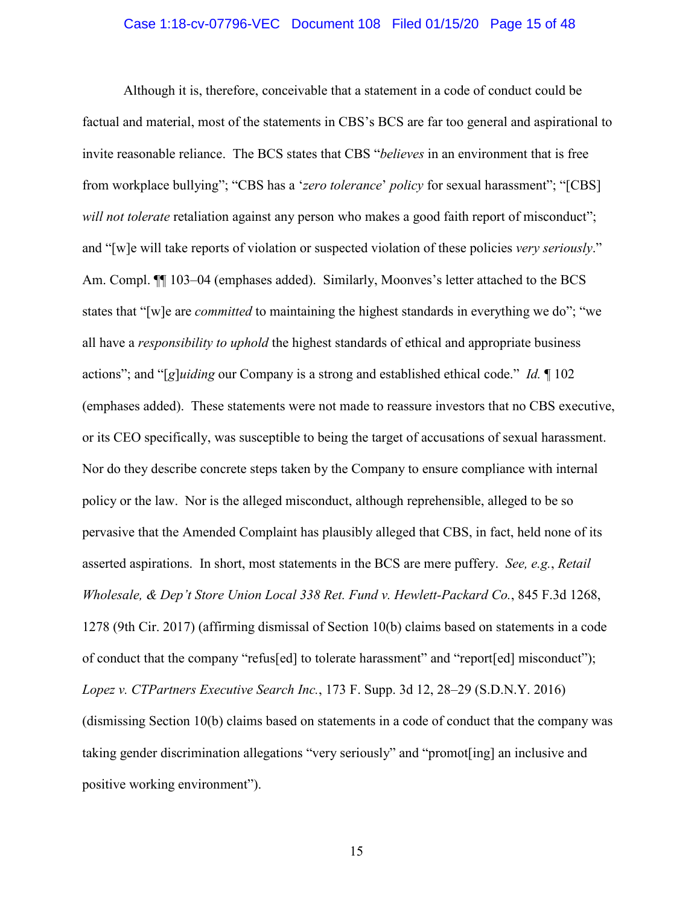### Case 1:18-cv-07796-VEC Document 108 Filed 01/15/20 Page 15 of 48

Although it is, therefore, conceivable that a statement in a code of conduct could be factual and material, most of the statements in CBS's BCS are far too general and aspirational to invite reasonable reliance. The BCS states that CBS "*believes* in an environment that is free from workplace bullying"; "CBS has a '*zero tolerance*' *policy* for sexual harassment"; "[CBS] *will not tolerate* retaliation against any person who makes a good faith report of misconduct"; and "[w]e will take reports of violation or suspected violation of these policies *very seriously*." Am. Compl.  $\P$  103–04 (emphases added). Similarly, Moonves's letter attached to the BCS states that "[w]e are *committed* to maintaining the highest standards in everything we do"; "we all have a *responsibility to uphold* the highest standards of ethical and appropriate business actions"; and "[*g*]*uiding* our Company is a strong and established ethical code." *Id.* ¶ 102 (emphases added). These statements were not made to reassure investors that no CBS executive, or its CEO specifically, was susceptible to being the target of accusations of sexual harassment. Nor do they describe concrete steps taken by the Company to ensure compliance with internal policy or the law. Nor is the alleged misconduct, although reprehensible, alleged to be so pervasive that the Amended Complaint has plausibly alleged that CBS, in fact, held none of its asserted aspirations. In short, most statements in the BCS are mere puffery. *See, e.g.*, *Retail Wholesale, & Dep't Store Union Local 338 Ret. Fund v. Hewlett-Packard Co.*, 845 F.3d 1268, 1278 (9th Cir. 2017) (affirming dismissal of Section 10(b) claims based on statements in a code of conduct that the company "refus[ed] to tolerate harassment" and "report[ed] misconduct"); *Lopez v. CTPartners Executive Search Inc.*, 173 F. Supp. 3d 12, 28–29 (S.D.N.Y. 2016) (dismissing Section 10(b) claims based on statements in a code of conduct that the company was taking gender discrimination allegations "very seriously" and "promot[ing] an inclusive and positive working environment").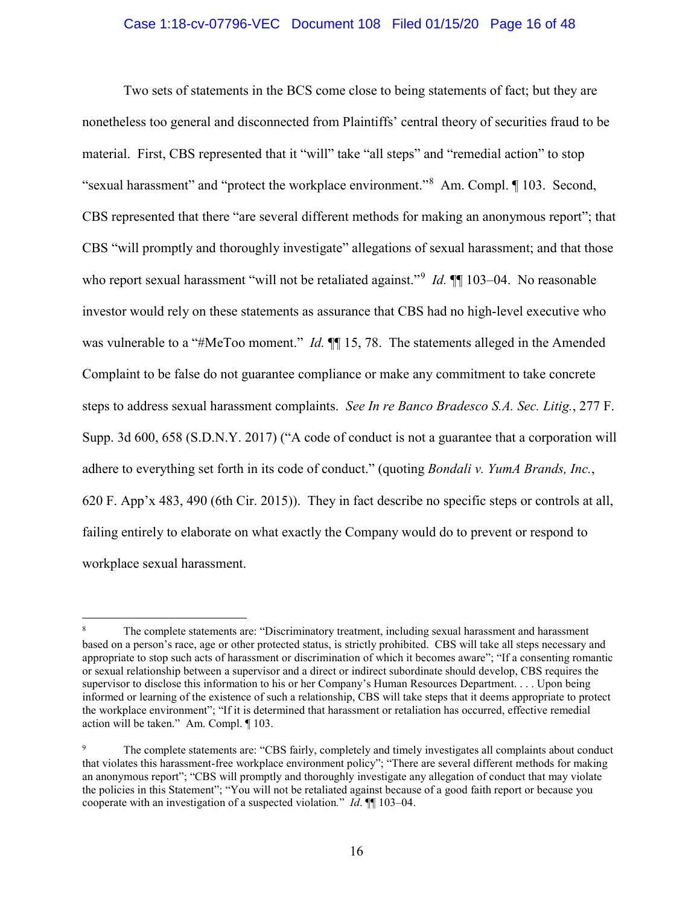### Case 1:18-cv-07796-VEC Document 108 Filed 01/15/20 Page 16 of 48

Two sets of statements in the BCS come close to being statements of fact; but they are nonetheless too general and disconnected from Plaintiffs' central theory of securities fraud to be material. First, CBS represented that it "will" take "all steps" and "remedial action" to stop "sexual harassment" and "protect the workplace environment."<sup>8</sup> Am. Compl. 103. Second, CBS represented that there "are several different methods for making an anonymous report"; that CBS "will promptly and thoroughly investigate" allegations of sexual harassment; and that those who report sexual harassment "will not be retaliated against."<sup>9</sup> *Id*.  $\P\P$  103–04. No reasonable investor would rely on these statements as assurance that CBS had no high-level executive who was vulnerable to a "#MeToo moment." *Id.*  $\P$  15, 78. The statements alleged in the Amended Complaint to be false do not guarantee compliance or make any commitment to take concrete steps to address sexual harassment complaints. *See In re Banco Bradesco S.A. Sec. Litig.*, 277 F. Supp. 3d 600, 658 (S.D.N.Y. 2017) ("A code of conduct is not a guarantee that a corporation will adhere to everything set forth in its code of conduct." (quoting *Bondali v. YumA Brands, Inc.*, 620 F. App'x 483, 490 (6th Cir. 2015)). They in fact describe no specific steps or controls at all, failing entirely to elaborate on what exactly the Company would do to prevent or respond to workplace sexual harassment.

 $\overline{a}$ 

<sup>8</sup> The complete statements are: "Discriminatory treatment, including sexual harassment and harassment based on a person's race, age or other protected status, is strictly prohibited. CBS will take all steps necessary and appropriate to stop such acts of harassment or discrimination of which it becomes aware"; "If a consenting romantic or sexual relationship between a supervisor and a direct or indirect subordinate should develop, CBS requires the supervisor to disclose this information to his or her Company's Human Resources Department. . . . Upon being informed or learning of the existence of such a relationship, CBS will take steps that it deems appropriate to protect the workplace environment"; "If it is determined that harassment or retaliation has occurred, effective remedial action will be taken." Am. Compl. ¶ 103.

<sup>9</sup> The complete statements are: "CBS fairly, completely and timely investigates all complaints about conduct that violates this harassment-free workplace environment policy"; "There are several different methods for making an anonymous report"; "CBS will promptly and thoroughly investigate any allegation of conduct that may violate the policies in this Statement"; "You will not be retaliated against because of a good faith report or because you cooperate with an investigation of a suspected violation*.*" *Id*. ¶¶ 103–04.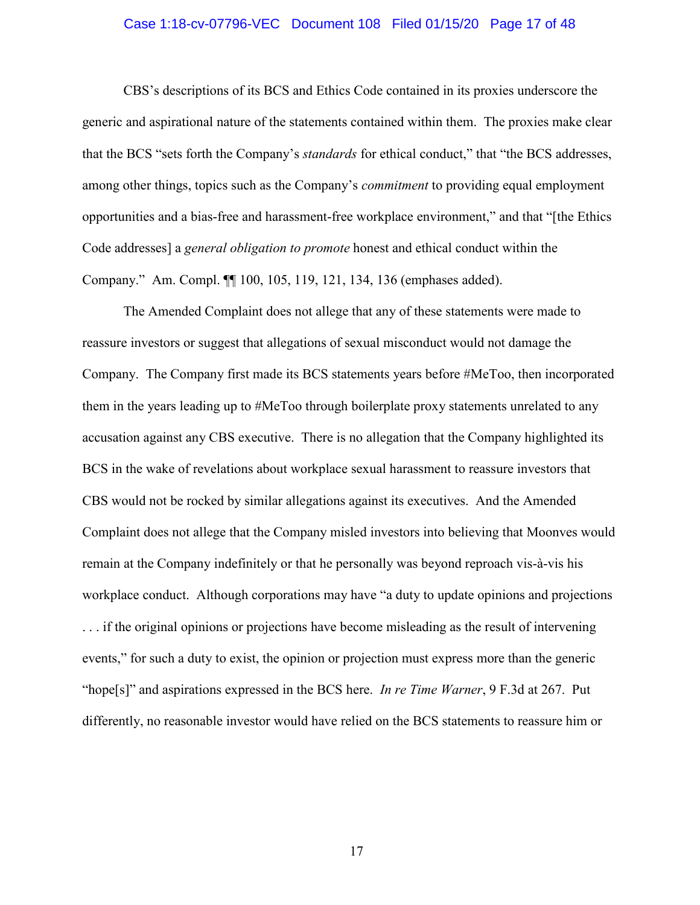### Case 1:18-cv-07796-VEC Document 108 Filed 01/15/20 Page 17 of 48

CBS's descriptions of its BCS and Ethics Code contained in its proxies underscore the generic and aspirational nature of the statements contained within them. The proxies make clear that the BCS "sets forth the Company's *standards* for ethical conduct," that "the BCS addresses, among other things, topics such as the Company's *commitment* to providing equal employment opportunities and a bias-free and harassment-free workplace environment," and that "[the Ethics Code addresses] a *general obligation to promote* honest and ethical conduct within the Company." Am. Compl. ¶¶ 100, 105, 119, 121, 134, 136 (emphases added).

The Amended Complaint does not allege that any of these statements were made to reassure investors or suggest that allegations of sexual misconduct would not damage the Company. The Company first made its BCS statements years before #MeToo, then incorporated them in the years leading up to #MeToo through boilerplate proxy statements unrelated to any accusation against any CBS executive. There is no allegation that the Company highlighted its BCS in the wake of revelations about workplace sexual harassment to reassure investors that CBS would not be rocked by similar allegations against its executives. And the Amended Complaint does not allege that the Company misled investors into believing that Moonves would remain at the Company indefinitely or that he personally was beyond reproach vis-à-vis his workplace conduct. Although corporations may have "a duty to update opinions and projections . . . if the original opinions or projections have become misleading as the result of intervening events," for such a duty to exist, the opinion or projection must express more than the generic "hope[s]" and aspirations expressed in the BCS here. *In re Time Warner*, 9 F.3d at 267. Put differently, no reasonable investor would have relied on the BCS statements to reassure him or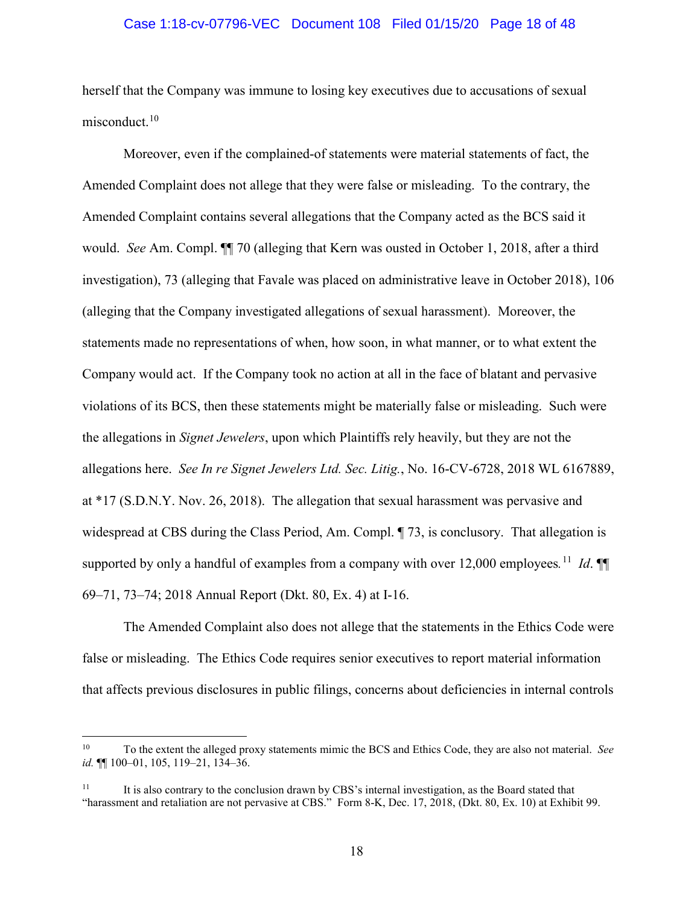### Case 1:18-cv-07796-VEC Document 108 Filed 01/15/20 Page 18 of 48

herself that the Company was immune to losing key executives due to accusations of sexual misconduct.<sup>10</sup>

Moreover, even if the complained-of statements were material statements of fact, the Amended Complaint does not allege that they were false or misleading. To the contrary, the Amended Complaint contains several allegations that the Company acted as the BCS said it would. *See* Am. Compl. ¶¶ 70 (alleging that Kern was ousted in October 1, 2018, after a third investigation), 73 (alleging that Favale was placed on administrative leave in October 2018), 106 (alleging that the Company investigated allegations of sexual harassment). Moreover, the statements made no representations of when, how soon, in what manner, or to what extent the Company would act. If the Company took no action at all in the face of blatant and pervasive violations of its BCS, then these statements might be materially false or misleading. Such were the allegations in *Signet Jewelers*, upon which Plaintiffs rely heavily, but they are not the allegations here. *See In re Signet Jewelers Ltd. Sec. Litig.*, No. 16-CV-6728, 2018 WL 6167889, at \*17 (S.D.N.Y. Nov. 26, 2018). The allegation that sexual harassment was pervasive and widespread at CBS during the Class Period, Am. Compl. ¶ 73, is conclusory. That allegation is supported by only a handful of examples from a company with over 12,000 employees*.* 11 *Id*. ¶¶ 69–71, 73–74; 2018 Annual Report (Dkt. 80, Ex. 4) at I-16.

The Amended Complaint also does not allege that the statements in the Ethics Code were false or misleading. The Ethics Code requires senior executives to report material information that affects previous disclosures in public filings, concerns about deficiencies in internal controls

 $\overline{a}$ 

<sup>10</sup> To the extent the alleged proxy statements mimic the BCS and Ethics Code, they are also not material. *See id.* ¶¶ 100–01, 105, 119–21, 134–36.

 $11$  It is also contrary to the conclusion drawn by CBS's internal investigation, as the Board stated that "harassment and retaliation are not pervasive at CBS." Form 8-K, Dec. 17, 2018, (Dkt. 80, Ex. 10) at Exhibit 99.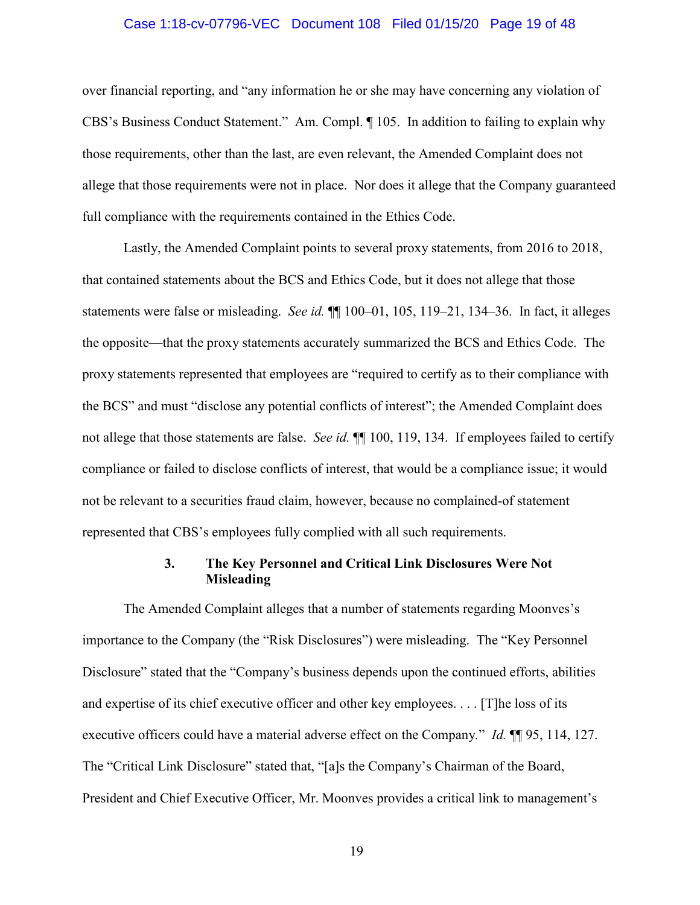### Case 1:18-cv-07796-VEC Document 108 Filed 01/15/20 Page 19 of 48

over financial reporting, and "any information he or she may have concerning any violation of CBS's Business Conduct Statement." Am. Compl. ¶ 105. In addition to failing to explain why those requirements, other than the last, are even relevant, the Amended Complaint does not allege that those requirements were not in place. Nor does it allege that the Company guaranteed full compliance with the requirements contained in the Ethics Code.

Lastly, the Amended Complaint points to several proxy statements, from 2016 to 2018, that contained statements about the BCS and Ethics Code, but it does not allege that those statements were false or misleading. *See id.* ¶¶ 100–01, 105, 119–21, 134–36. In fact, it alleges the opposite—that the proxy statements accurately summarized the BCS and Ethics Code. The proxy statements represented that employees are "required to certify as to their compliance with the BCS" and must "disclose any potential conflicts of interest"; the Amended Complaint does not allege that those statements are false. *See id.* ¶¶ 100, 119, 134. If employees failed to certify compliance or failed to disclose conflicts of interest, that would be a compliance issue; it would not be relevant to a securities fraud claim, however, because no complained-of statement represented that CBS's employees fully complied with all such requirements.

# **3. The Key Personnel and Critical Link Disclosures Were Not Misleading**

The Amended Complaint alleges that a number of statements regarding Moonves's importance to the Company (the "Risk Disclosures") were misleading. The "Key Personnel Disclosure" stated that the "Company's business depends upon the continued efforts, abilities and expertise of its chief executive officer and other key employees. . . . [T]he loss of its executive officers could have a material adverse effect on the Company*.*" *Id.* ¶¶ 95, 114, 127. The "Critical Link Disclosure" stated that, "[a]s the Company's Chairman of the Board, President and Chief Executive Officer, Mr. Moonves provides a critical link to management's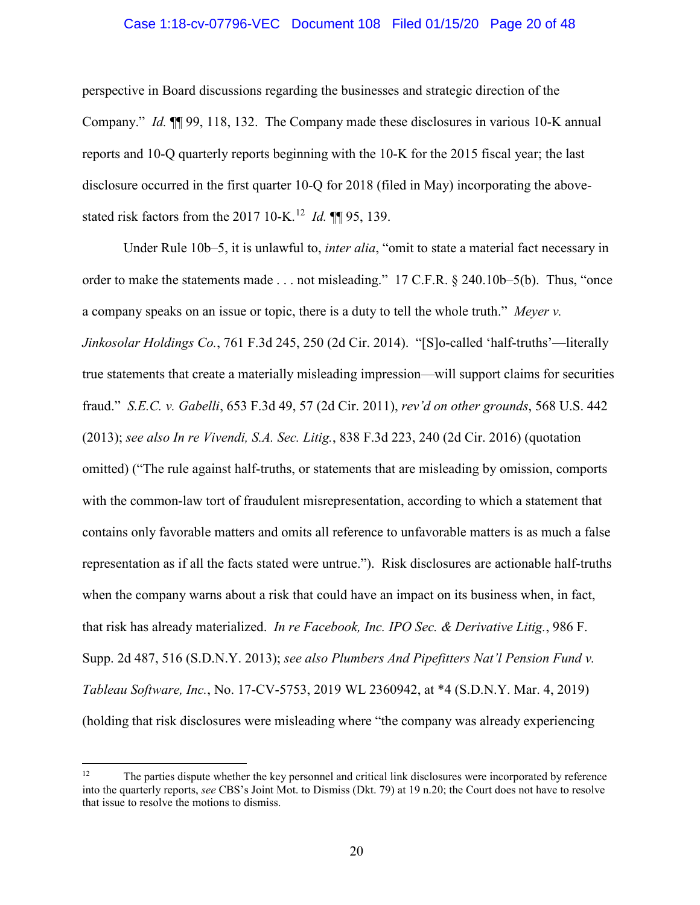### Case 1:18-cv-07796-VEC Document 108 Filed 01/15/20 Page 20 of 48

perspective in Board discussions regarding the businesses and strategic direction of the Company." *Id.* ¶¶ 99, 118, 132. The Company made these disclosures in various 10-K annual reports and 10-Q quarterly reports beginning with the 10-K for the 2015 fiscal year; the last disclosure occurred in the first quarter 10-Q for 2018 (filed in May) incorporating the abovestated risk factors from the 2017 10-K.<sup>12</sup> *Id.* **[1]** 95, 139.

Under Rule 10b–5, it is unlawful to, *inter alia*, "omit to state a material fact necessary in order to make the statements made . . . not misleading." 17 C.F.R. § 240.10b–5(b). Thus, "once a company speaks on an issue or topic, there is a duty to tell the whole truth." *Meyer v. Jinkosolar Holdings Co.*, 761 F.3d 245, 250 (2d Cir. 2014). "[S]o-called 'half-truths'—literally true statements that create a materially misleading impression—will support claims for securities fraud." *S.E.C. v. Gabelli*, 653 F.3d 49, 57 (2d Cir. 2011), *rev'd on other grounds*, 568 U.S. 442 (2013); *see also In re Vivendi, S.A. Sec. Litig.*, 838 F.3d 223, 240 (2d Cir. 2016) (quotation omitted) ("The rule against half-truths, or statements that are misleading by omission, comports with the common-law tort of fraudulent misrepresentation, according to which a statement that contains only favorable matters and omits all reference to unfavorable matters is as much a false representation as if all the facts stated were untrue."). Risk disclosures are actionable half-truths when the company warns about a risk that could have an impact on its business when, in fact, that risk has already materialized. *In re Facebook, Inc. IPO Sec. & Derivative Litig.*, 986 F. Supp. 2d 487, 516 (S.D.N.Y. 2013); *see also Plumbers And Pipefitters Nat'l Pension Fund v. Tableau Software, Inc.*, No. 17-CV-5753, 2019 WL 2360942, at \*4 (S.D.N.Y. Mar. 4, 2019) (holding that risk disclosures were misleading where "the company was already experiencing

 $12 \,$ 12 The parties dispute whether the key personnel and critical link disclosures were incorporated by reference into the quarterly reports, *see* CBS's Joint Mot. to Dismiss (Dkt. 79) at 19 n.20; the Court does not have to resolve that issue to resolve the motions to dismiss.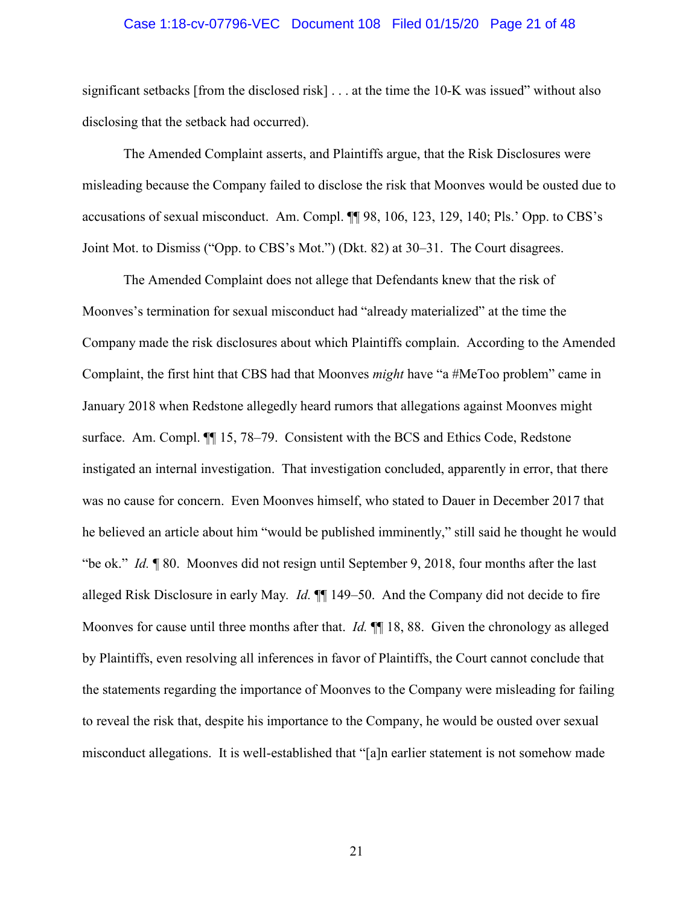### Case 1:18-cv-07796-VEC Document 108 Filed 01/15/20 Page 21 of 48

significant setbacks [from the disclosed risk] . . . at the time the 10-K was issued" without also disclosing that the setback had occurred).

The Amended Complaint asserts, and Plaintiffs argue, that the Risk Disclosures were misleading because the Company failed to disclose the risk that Moonves would be ousted due to accusations of sexual misconduct. Am. Compl. ¶¶ 98, 106, 123, 129, 140; Pls.' Opp. to CBS's Joint Mot. to Dismiss ("Opp. to CBS's Mot.") (Dkt. 82) at 30–31. The Court disagrees.

The Amended Complaint does not allege that Defendants knew that the risk of Moonves's termination for sexual misconduct had "already materialized" at the time the Company made the risk disclosures about which Plaintiffs complain. According to the Amended Complaint, the first hint that CBS had that Moonves *might* have "a #MeToo problem" came in January 2018 when Redstone allegedly heard rumors that allegations against Moonves might surface. Am. Compl. ¶¶ 15, 78–79. Consistent with the BCS and Ethics Code, Redstone instigated an internal investigation. That investigation concluded, apparently in error, that there was no cause for concern. Even Moonves himself, who stated to Dauer in December 2017 that he believed an article about him "would be published imminently," still said he thought he would "be ok." *Id.* ¶ 80. Moonves did not resign until September 9, 2018, four months after the last alleged Risk Disclosure in early May*. Id.* ¶¶ 149–50. And the Company did not decide to fire Moonves for cause until three months after that. *Id.* **[1]** 18, 88. Given the chronology as alleged by Plaintiffs, even resolving all inferences in favor of Plaintiffs, the Court cannot conclude that the statements regarding the importance of Moonves to the Company were misleading for failing to reveal the risk that, despite his importance to the Company, he would be ousted over sexual misconduct allegations. It is well-established that "[a]n earlier statement is not somehow made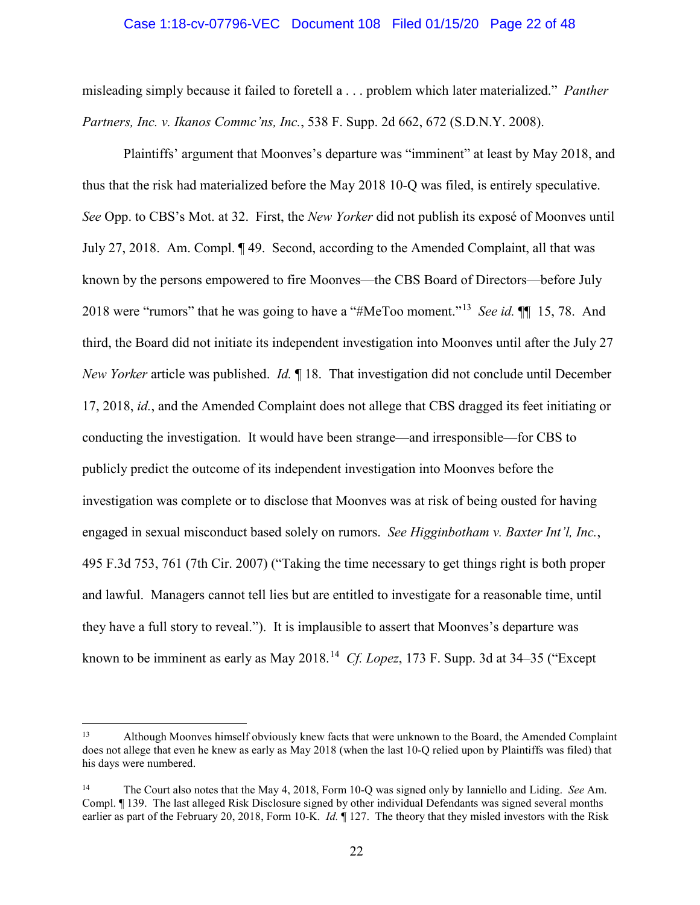### Case 1:18-cv-07796-VEC Document 108 Filed 01/15/20 Page 22 of 48

misleading simply because it failed to foretell a . . . problem which later materialized." *Panther Partners, Inc. v. Ikanos Commc'ns, Inc.*, 538 F. Supp. 2d 662, 672 (S.D.N.Y. 2008).

Plaintiffs' argument that Moonves's departure was "imminent" at least by May 2018, and thus that the risk had materialized before the May 2018 10-Q was filed, is entirely speculative. *See* Opp. to CBS's Mot. at 32. First, the *New Yorker* did not publish its exposé of Moonves until July 27, 2018. Am. Compl. ¶ 49. Second, according to the Amended Complaint, all that was known by the persons empowered to fire Moonves—the CBS Board of Directors—before July 2018 were "rumors" that he was going to have a "#MeToo moment."13 *See id.* ¶¶ 15, 78. And third, the Board did not initiate its independent investigation into Moonves until after the July 27 *New Yorker* article was published. *Id.* ¶ 18. That investigation did not conclude until December 17, 2018, *id.*, and the Amended Complaint does not allege that CBS dragged its feet initiating or conducting the investigation. It would have been strange—and irresponsible—for CBS to publicly predict the outcome of its independent investigation into Moonves before the investigation was complete or to disclose that Moonves was at risk of being ousted for having engaged in sexual misconduct based solely on rumors. *See Higginbotham v. Baxter Int'l, Inc.*, 495 F.3d 753, 761 (7th Cir. 2007) ("Taking the time necessary to get things right is both proper and lawful. Managers cannot tell lies but are entitled to investigate for a reasonable time, until they have a full story to reveal."). It is implausible to assert that Moonves's departure was known to be imminent as early as May 2018.14 *Cf. Lopez*, 173 F. Supp. 3d at 34–35 ("Except

 $13$ 13 Although Moonves himself obviously knew facts that were unknown to the Board, the Amended Complaint does not allege that even he knew as early as May 2018 (when the last 10-Q relied upon by Plaintiffs was filed) that his days were numbered.

<sup>14</sup> The Court also notes that the May 4, 2018, Form 10-Q was signed only by Ianniello and Liding. *See* Am. Compl. ¶ 139. The last alleged Risk Disclosure signed by other individual Defendants was signed several months earlier as part of the February 20, 2018, Form 10-K. *Id.* ¶ 127. The theory that they misled investors with the Risk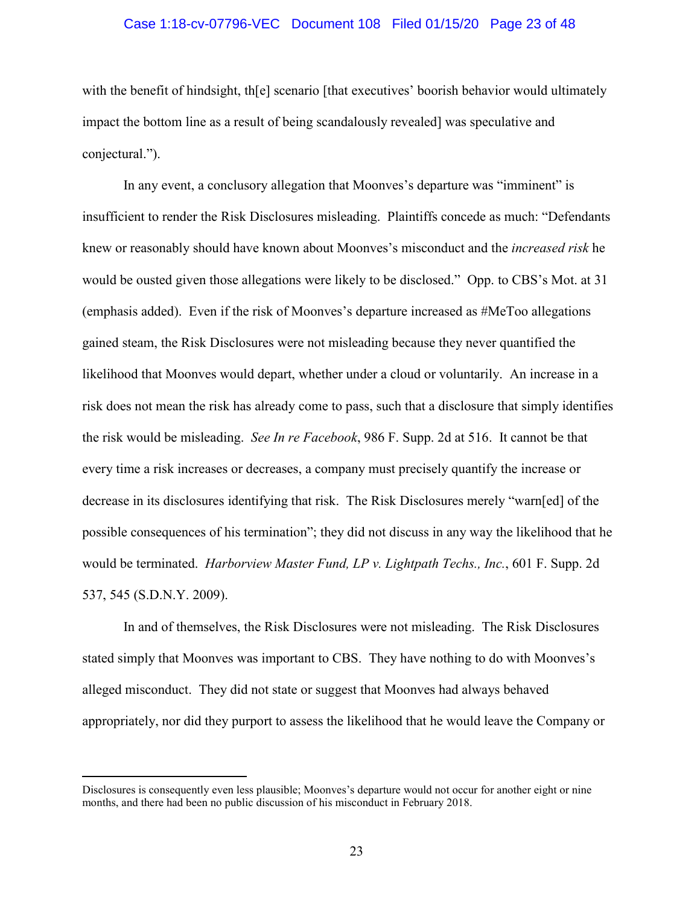### Case 1:18-cv-07796-VEC Document 108 Filed 01/15/20 Page 23 of 48

with the benefit of hindsight, the scenario [that executives' boorish behavior would ultimately impact the bottom line as a result of being scandalously revealed] was speculative and conjectural.").

In any event, a conclusory allegation that Moonves's departure was "imminent" is insufficient to render the Risk Disclosures misleading. Plaintiffs concede as much: "Defendants knew or reasonably should have known about Moonves's misconduct and the *increased risk* he would be ousted given those allegations were likely to be disclosed." Opp. to CBS's Mot. at 31 (emphasis added). Even if the risk of Moonves's departure increased as #MeToo allegations gained steam, the Risk Disclosures were not misleading because they never quantified the likelihood that Moonves would depart, whether under a cloud or voluntarily. An increase in a risk does not mean the risk has already come to pass, such that a disclosure that simply identifies the risk would be misleading. *See In re Facebook*, 986 F. Supp. 2d at 516. It cannot be that every time a risk increases or decreases, a company must precisely quantify the increase or decrease in its disclosures identifying that risk. The Risk Disclosures merely "warn[ed] of the possible consequences of his termination"; they did not discuss in any way the likelihood that he would be terminated. *Harborview Master Fund, LP v. Lightpath Techs., Inc.*, 601 F. Supp. 2d 537, 545 (S.D.N.Y. 2009).

In and of themselves, the Risk Disclosures were not misleading. The Risk Disclosures stated simply that Moonves was important to CBS. They have nothing to do with Moonves's alleged misconduct. They did not state or suggest that Moonves had always behaved appropriately, nor did they purport to assess the likelihood that he would leave the Company or

 $\overline{a}$ 

Disclosures is consequently even less plausible; Moonves's departure would not occur for another eight or nine months, and there had been no public discussion of his misconduct in February 2018.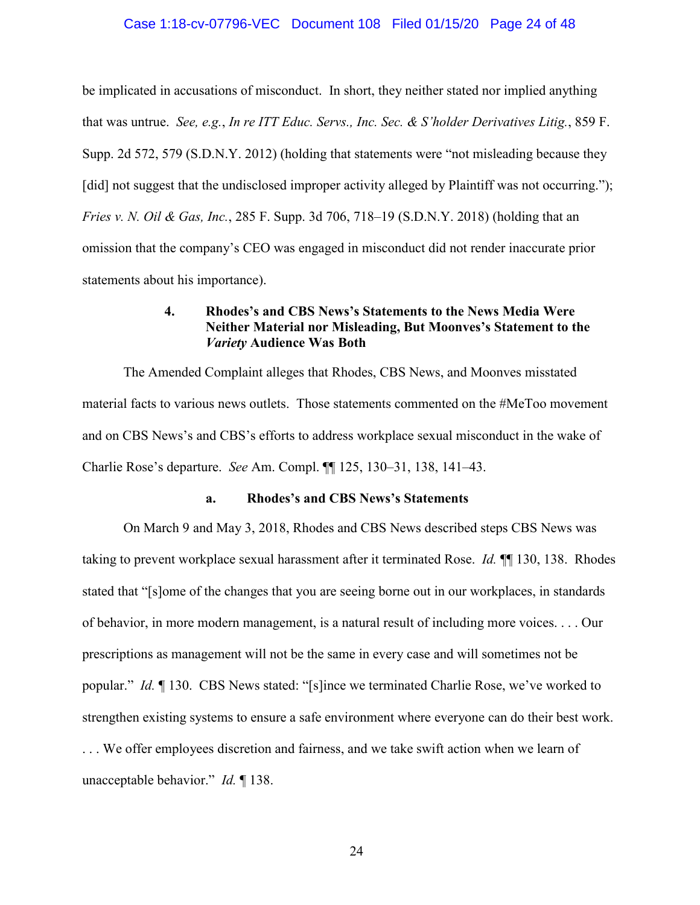### Case 1:18-cv-07796-VEC Document 108 Filed 01/15/20 Page 24 of 48

be implicated in accusations of misconduct. In short, they neither stated nor implied anything that was untrue. *See, e.g.*, *In re ITT Educ. Servs., Inc. Sec. & S'holder Derivatives Litig.*, 859 F. Supp. 2d 572, 579 (S.D.N.Y. 2012) (holding that statements were "not misleading because they [did] not suggest that the undisclosed improper activity alleged by Plaintiff was not occurring."); *Fries v. N. Oil & Gas, Inc.*, 285 F. Supp. 3d 706, 718–19 (S.D.N.Y. 2018) (holding that an omission that the company's CEO was engaged in misconduct did not render inaccurate prior statements about his importance).

# **4. Rhodes's and CBS News's Statements to the News Media Were Neither Material nor Misleading, But Moonves's Statement to the**  *Variety* **Audience Was Both**

The Amended Complaint alleges that Rhodes, CBS News, and Moonves misstated material facts to various news outlets. Those statements commented on the #MeToo movement and on CBS News's and CBS's efforts to address workplace sexual misconduct in the wake of Charlie Rose's departure. *See* Am. Compl. ¶¶ 125, 130–31, 138, 141–43.

### **a. Rhodes's and CBS News's Statements**

On March 9 and May 3, 2018, Rhodes and CBS News described steps CBS News was taking to prevent workplace sexual harassment after it terminated Rose. *Id.* ¶¶ 130, 138. Rhodes stated that "[s]ome of the changes that you are seeing borne out in our workplaces, in standards of behavior, in more modern management, is a natural result of including more voices. . . . Our prescriptions as management will not be the same in every case and will sometimes not be popular." *Id.* ¶ 130. CBS News stated: "[s]ince we terminated Charlie Rose, we've worked to strengthen existing systems to ensure a safe environment where everyone can do their best work. . . . We offer employees discretion and fairness, and we take swift action when we learn of unacceptable behavior." *Id.* ¶ 138.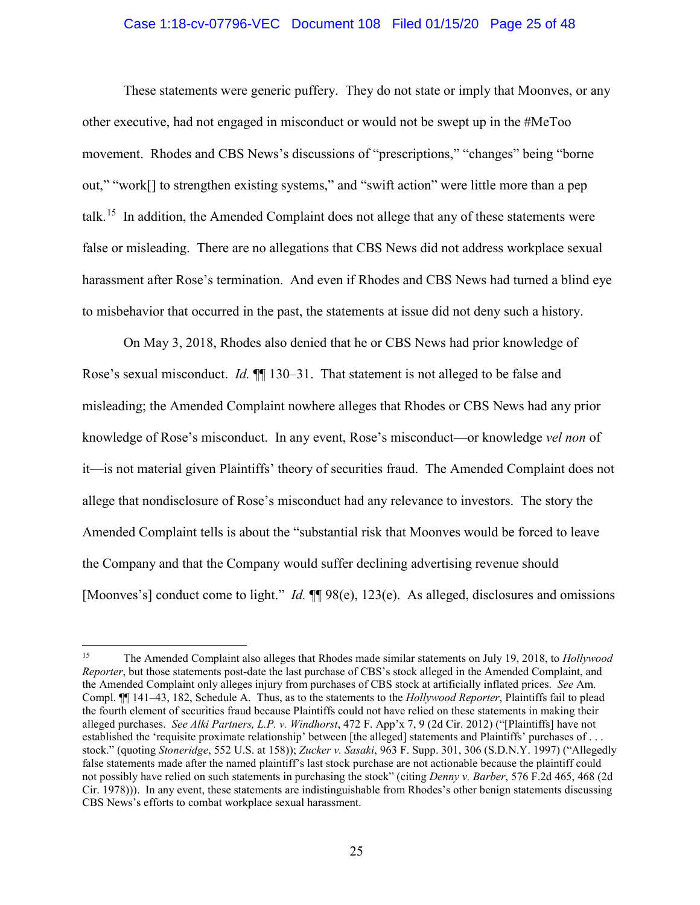### Case 1:18-cv-07796-VEC Document 108 Filed 01/15/20 Page 25 of 48

These statements were generic puffery. They do not state or imply that Moonves, or any other executive, had not engaged in misconduct or would not be swept up in the #MeToo movement. Rhodes and CBS News's discussions of "prescriptions," "changes" being "borne out," "work[] to strengthen existing systems," and "swift action" were little more than a pep talk.<sup>15</sup> In addition, the Amended Complaint does not allege that any of these statements were false or misleading. There are no allegations that CBS News did not address workplace sexual harassment after Rose's termination. And even if Rhodes and CBS News had turned a blind eye to misbehavior that occurred in the past, the statements at issue did not deny such a history.

On May 3, 2018, Rhodes also denied that he or CBS News had prior knowledge of Rose's sexual misconduct. *Id.*  $\mathbb{I}$  130–31. That statement is not alleged to be false and misleading; the Amended Complaint nowhere alleges that Rhodes or CBS News had any prior knowledge of Rose's misconduct. In any event, Rose's misconduct—or knowledge *vel non* of it—is not material given Plaintiffs' theory of securities fraud. The Amended Complaint does not allege that nondisclosure of Rose's misconduct had any relevance to investors. The story the Amended Complaint tells is about the "substantial risk that Moonves would be forced to leave the Company and that the Company would suffer declining advertising revenue should [Moonves's] conduct come to light." *Id.*  $\P\P$  98(e), 123(e). As alleged, disclosures and omissions

 $15\,$ 15 The Amended Complaint also alleges that Rhodes made similar statements on July 19, 2018, to *Hollywood Reporter*, but those statements post-date the last purchase of CBS's stock alleged in the Amended Complaint, and the Amended Complaint only alleges injury from purchases of CBS stock at artificially inflated prices. *See* Am. Compl. ¶¶ 141–43, 182, Schedule A. Thus, as to the statements to the *Hollywood Reporter*, Plaintiffs fail to plead the fourth element of securities fraud because Plaintiffs could not have relied on these statements in making their alleged purchases. *See Alki Partners, L.P. v. Windhorst*, 472 F. App'x 7, 9 (2d Cir. 2012) ("[Plaintiffs] have not established the 'requisite proximate relationship' between [the alleged] statements and Plaintiffs' purchases of . . . stock." (quoting *Stoneridge*, 552 U.S. at 158)); *Zucker v. Sasaki*, 963 F. Supp. 301, 306 (S.D.N.Y. 1997) ("Allegedly false statements made after the named plaintiff's last stock purchase are not actionable because the plaintiff could not possibly have relied on such statements in purchasing the stock" (citing *Denny v. Barber*, 576 F.2d 465, 468 (2d Cir. 1978))). In any event, these statements are indistinguishable from Rhodes's other benign statements discussing CBS News's efforts to combat workplace sexual harassment.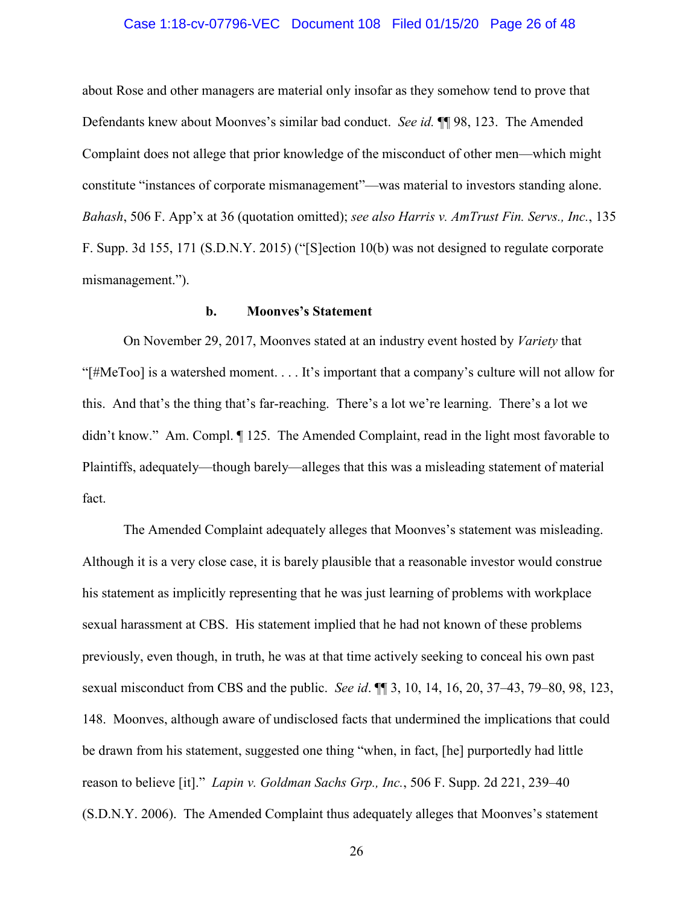### Case 1:18-cv-07796-VEC Document 108 Filed 01/15/20 Page 26 of 48

about Rose and other managers are material only insofar as they somehow tend to prove that Defendants knew about Moonves's similar bad conduct. *See id.* ¶¶ 98, 123. The Amended Complaint does not allege that prior knowledge of the misconduct of other men—which might constitute "instances of corporate mismanagement"—was material to investors standing alone. *Bahash*, 506 F. App'x at 36 (quotation omitted); *see also Harris v. AmTrust Fin. Servs., Inc.*, 135 F. Supp. 3d 155, 171 (S.D.N.Y. 2015) ("[S]ection 10(b) was not designed to regulate corporate mismanagement.").

# **b. Moonves's Statement**

On November 29, 2017, Moonves stated at an industry event hosted by *Variety* that "[#MeToo] is a watershed moment. . . . It's important that a company's culture will not allow for this. And that's the thing that's far-reaching. There's a lot we're learning. There's a lot we didn't know." Am. Compl. ¶ 125. The Amended Complaint, read in the light most favorable to Plaintiffs, adequately—though barely—alleges that this was a misleading statement of material fact.

The Amended Complaint adequately alleges that Moonves's statement was misleading. Although it is a very close case, it is barely plausible that a reasonable investor would construe his statement as implicitly representing that he was just learning of problems with workplace sexual harassment at CBS. His statement implied that he had not known of these problems previously, even though, in truth, he was at that time actively seeking to conceal his own past sexual misconduct from CBS and the public. *See id*. ¶¶ 3, 10, 14, 16, 20, 37–43, 79–80, 98, 123, 148. Moonves, although aware of undisclosed facts that undermined the implications that could be drawn from his statement, suggested one thing "when, in fact, [he] purportedly had little reason to believe [it]." *Lapin v. Goldman Sachs Grp., Inc.*, 506 F. Supp. 2d 221, 239–40 (S.D.N.Y. 2006). The Amended Complaint thus adequately alleges that Moonves's statement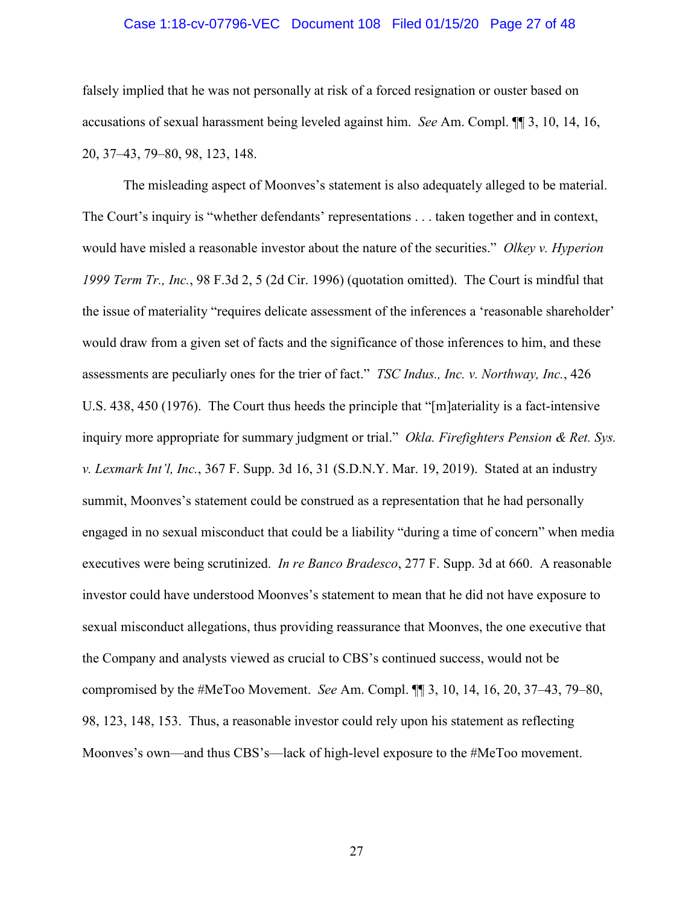### Case 1:18-cv-07796-VEC Document 108 Filed 01/15/20 Page 27 of 48

falsely implied that he was not personally at risk of a forced resignation or ouster based on accusations of sexual harassment being leveled against him. *See* Am. Compl. ¶¶ 3, 10, 14, 16, 20, 37–43, 79–80, 98, 123, 148.

The misleading aspect of Moonves's statement is also adequately alleged to be material. The Court's inquiry is "whether defendants' representations . . . taken together and in context, would have misled a reasonable investor about the nature of the securities." *Olkey v. Hyperion 1999 Term Tr., Inc.*, 98 F.3d 2, 5 (2d Cir. 1996) (quotation omitted). The Court is mindful that the issue of materiality "requires delicate assessment of the inferences a 'reasonable shareholder' would draw from a given set of facts and the significance of those inferences to him, and these assessments are peculiarly ones for the trier of fact." *TSC Indus., Inc. v. Northway, Inc.*, 426 U.S. 438, 450 (1976). The Court thus heeds the principle that "[m]ateriality is a fact-intensive inquiry more appropriate for summary judgment or trial." *Okla. Firefighters Pension & Ret. Sys. v. Lexmark Int'l, Inc.*, 367 F. Supp. 3d 16, 31 (S.D.N.Y. Mar. 19, 2019). Stated at an industry summit, Moonves's statement could be construed as a representation that he had personally engaged in no sexual misconduct that could be a liability "during a time of concern" when media executives were being scrutinized. *In re Banco Bradesco*, 277 F. Supp. 3d at 660. A reasonable investor could have understood Moonves's statement to mean that he did not have exposure to sexual misconduct allegations, thus providing reassurance that Moonves, the one executive that the Company and analysts viewed as crucial to CBS's continued success, would not be compromised by the #MeToo Movement. *See* Am. Compl. ¶¶ 3, 10, 14, 16, 20, 37–43, 79–80, 98, 123, 148, 153. Thus, a reasonable investor could rely upon his statement as reflecting Moonves's own—and thus CBS's—lack of high-level exposure to the #MeToo movement.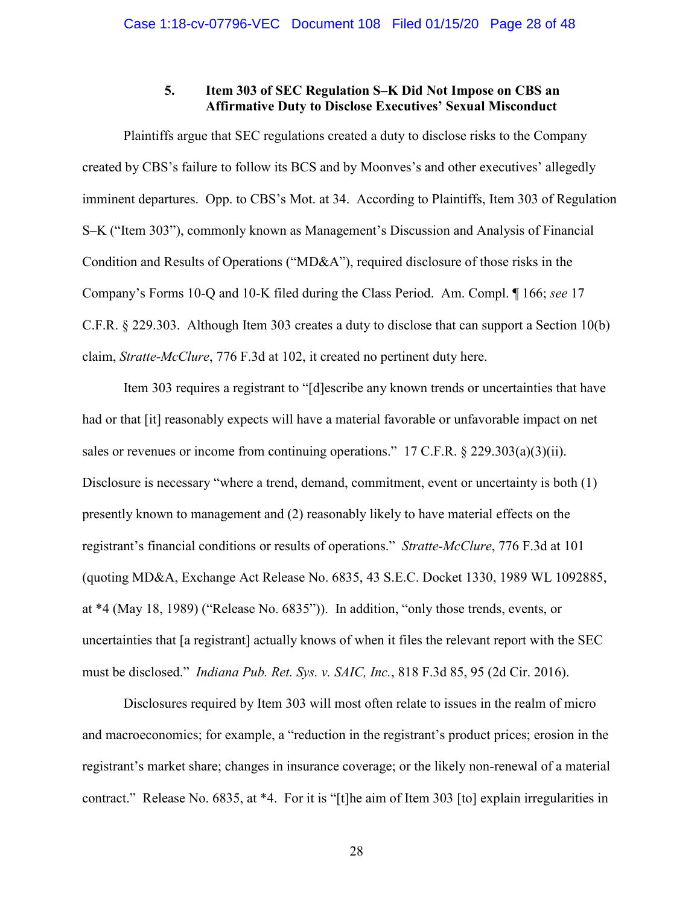# **5. Item 303 of SEC Regulation S–K Did Not Impose on CBS an Affirmative Duty to Disclose Executives' Sexual Misconduct**

Plaintiffs argue that SEC regulations created a duty to disclose risks to the Company created by CBS's failure to follow its BCS and by Moonves's and other executives' allegedly imminent departures. Opp. to CBS's Mot. at 34. According to Plaintiffs, Item 303 of Regulation S–K ("Item 303"), commonly known as Management's Discussion and Analysis of Financial Condition and Results of Operations ("MD&A"), required disclosure of those risks in the Company's Forms 10-Q and 10-K filed during the Class Period. Am. Compl. ¶ 166; *see* 17 C.F.R. § 229.303. Although Item 303 creates a duty to disclose that can support a Section 10(b) claim, *Stratte-McClure*, 776 F.3d at 102, it created no pertinent duty here.

Item 303 requires a registrant to "[d]escribe any known trends or uncertainties that have had or that [it] reasonably expects will have a material favorable or unfavorable impact on net sales or revenues or income from continuing operations." 17 C.F.R. § 229.303(a)(3)(ii). Disclosure is necessary "where a trend, demand, commitment, event or uncertainty is both (1) presently known to management and (2) reasonably likely to have material effects on the registrant's financial conditions or results of operations." *Stratte-McClure*, 776 F.3d at 101 (quoting MD&A, Exchange Act Release No. 6835, 43 S.E.C. Docket 1330, 1989 WL 1092885, at \*4 (May 18, 1989) ("Release No. 6835")). In addition, "only those trends, events, or uncertainties that [a registrant] actually knows of when it files the relevant report with the SEC must be disclosed." *Indiana Pub. Ret. Sys. v. SAIC, Inc.*, 818 F.3d 85, 95 (2d Cir. 2016).

Disclosures required by Item 303 will most often relate to issues in the realm of micro and macroeconomics; for example, a "reduction in the registrant's product prices; erosion in the registrant's market share; changes in insurance coverage; or the likely non-renewal of a material contract." Release No. 6835, at \*4. For it is "[t]he aim of Item 303 [to] explain irregularities in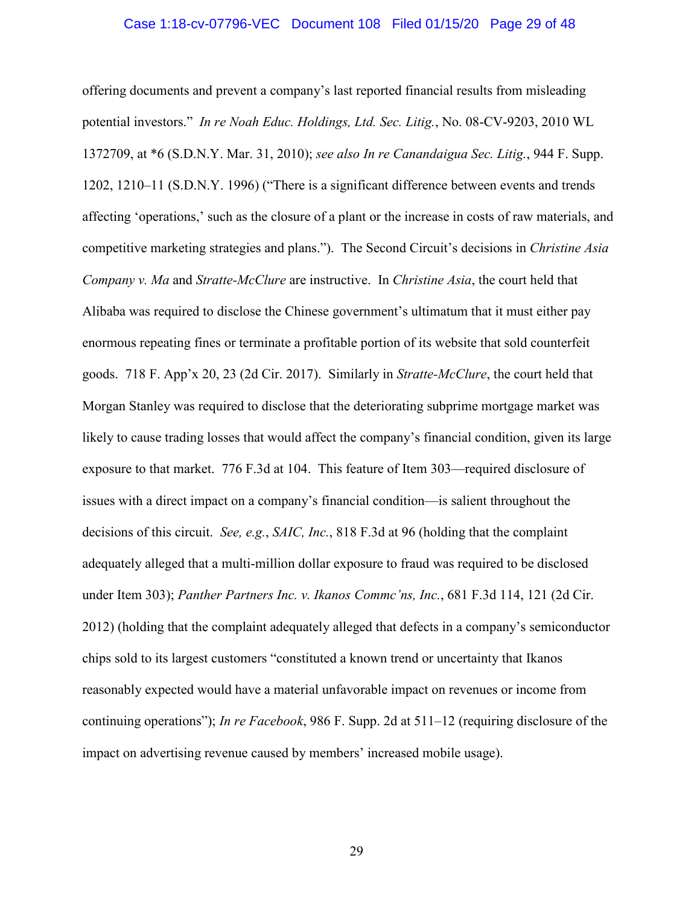### Case 1:18-cv-07796-VEC Document 108 Filed 01/15/20 Page 29 of 48

offering documents and prevent a company's last reported financial results from misleading potential investors." *In re Noah Educ. Holdings, Ltd. Sec. Litig.*, No. 08-CV-9203, 2010 WL 1372709, at \*6 (S.D.N.Y. Mar. 31, 2010); *see also In re Canandaigua Sec. Litig.*, 944 F. Supp. 1202, 1210–11 (S.D.N.Y. 1996) ("There is a significant difference between events and trends affecting 'operations,' such as the closure of a plant or the increase in costs of raw materials, and competitive marketing strategies and plans."). The Second Circuit's decisions in *Christine Asia Company v. Ma* and *Stratte-McClure* are instructive. In *Christine Asia*, the court held that Alibaba was required to disclose the Chinese government's ultimatum that it must either pay enormous repeating fines or terminate a profitable portion of its website that sold counterfeit goods. 718 F. App'x 20, 23 (2d Cir. 2017). Similarly in *Stratte-McClure*, the court held that Morgan Stanley was required to disclose that the deteriorating subprime mortgage market was likely to cause trading losses that would affect the company's financial condition, given its large exposure to that market. 776 F.3d at 104. This feature of Item 303—required disclosure of issues with a direct impact on a company's financial condition—is salient throughout the decisions of this circuit. *See, e.g.*, *SAIC, Inc.*, 818 F.3d at 96 (holding that the complaint adequately alleged that a multi-million dollar exposure to fraud was required to be disclosed under Item 303); *Panther Partners Inc. v. Ikanos Commc'ns, Inc.*, 681 F.3d 114, 121 (2d Cir. 2012) (holding that the complaint adequately alleged that defects in a company's semiconductor chips sold to its largest customers "constituted a known trend or uncertainty that Ikanos reasonably expected would have a material unfavorable impact on revenues or income from continuing operations"); *In re Facebook*, 986 F. Supp. 2d at 511–12 (requiring disclosure of the impact on advertising revenue caused by members' increased mobile usage).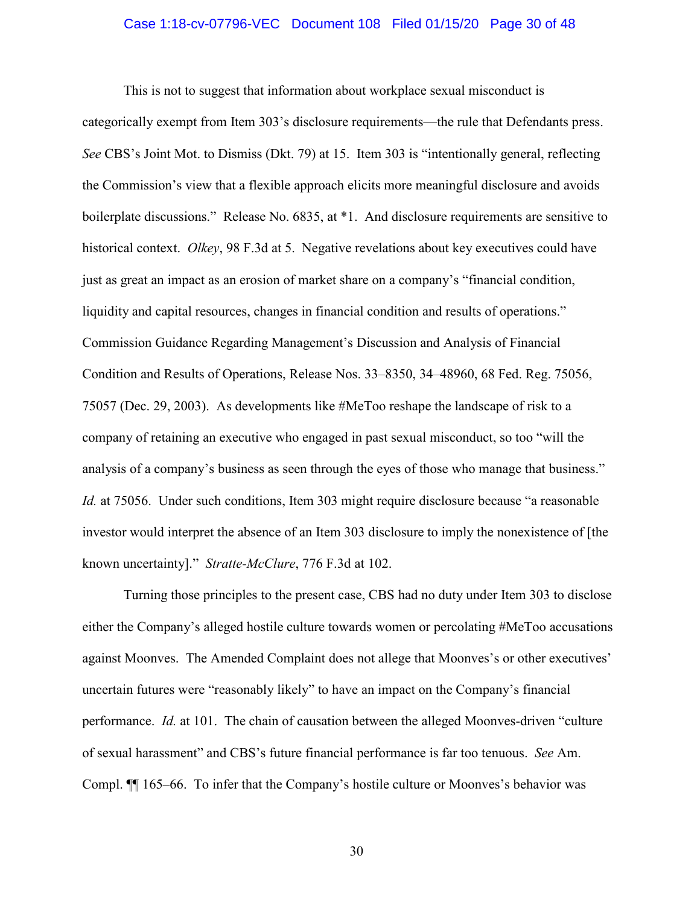### Case 1:18-cv-07796-VEC Document 108 Filed 01/15/20 Page 30 of 48

This is not to suggest that information about workplace sexual misconduct is categorically exempt from Item 303's disclosure requirements—the rule that Defendants press. *See* CBS's Joint Mot. to Dismiss (Dkt. 79) at 15. Item 303 is "intentionally general, reflecting the Commission's view that a flexible approach elicits more meaningful disclosure and avoids boilerplate discussions." Release No. 6835, at \*1. And disclosure requirements are sensitive to historical context. *Olkey*, 98 F.3d at 5. Negative revelations about key executives could have just as great an impact as an erosion of market share on a company's "financial condition, liquidity and capital resources, changes in financial condition and results of operations." Commission Guidance Regarding Management's Discussion and Analysis of Financial Condition and Results of Operations, Release Nos. 33–8350, 34–48960, 68 Fed. Reg. 75056, 75057 (Dec. 29, 2003). As developments like #MeToo reshape the landscape of risk to a company of retaining an executive who engaged in past sexual misconduct, so too "will the analysis of a company's business as seen through the eyes of those who manage that business." *Id.* at 75056. Under such conditions, Item 303 might require disclosure because "a reasonable" investor would interpret the absence of an Item 303 disclosure to imply the nonexistence of [the known uncertainty]." *Stratte-McClure*, 776 F.3d at 102.

Turning those principles to the present case, CBS had no duty under Item 303 to disclose either the Company's alleged hostile culture towards women or percolating #MeToo accusations against Moonves. The Amended Complaint does not allege that Moonves's or other executives' uncertain futures were "reasonably likely" to have an impact on the Company's financial performance. *Id.* at 101. The chain of causation between the alleged Moonves-driven "culture of sexual harassment" and CBS's future financial performance is far too tenuous. *See* Am. Compl. ¶¶ 165–66. To infer that the Company's hostile culture or Moonves's behavior was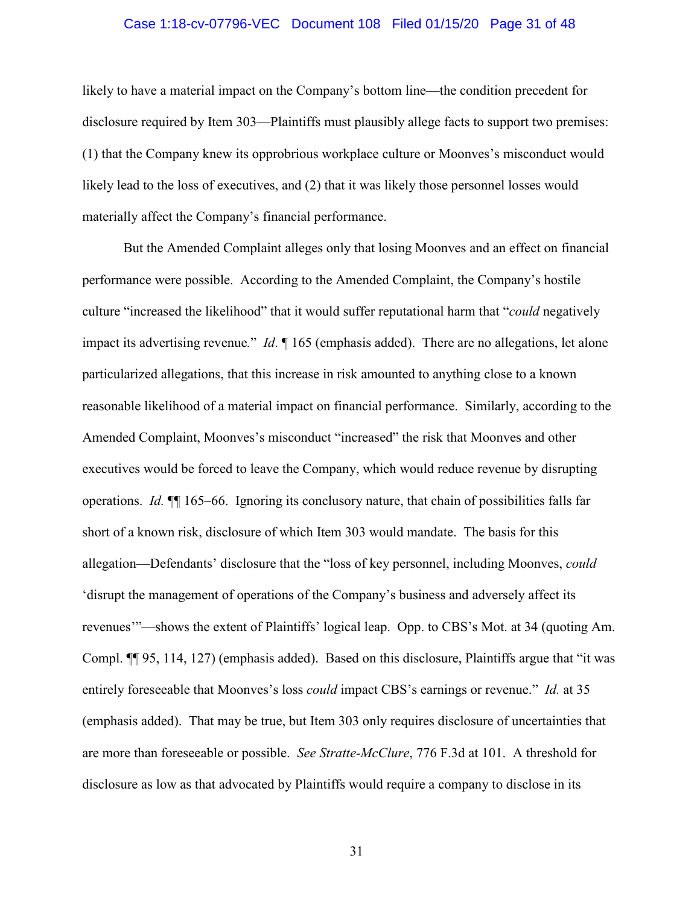### Case 1:18-cv-07796-VEC Document 108 Filed 01/15/20 Page 31 of 48

likely to have a material impact on the Company's bottom line—the condition precedent for disclosure required by Item 303—Plaintiffs must plausibly allege facts to support two premises: (1) that the Company knew its opprobrious workplace culture or Moonves's misconduct would likely lead to the loss of executives, and (2) that it was likely those personnel losses would materially affect the Company's financial performance.

But the Amended Complaint alleges only that losing Moonves and an effect on financial performance were possible. According to the Amended Complaint, the Company's hostile culture "increased the likelihood" that it would suffer reputational harm that "*could* negatively impact its advertising revenue*.*" *Id*. ¶ 165 (emphasis added). There are no allegations, let alone particularized allegations, that this increase in risk amounted to anything close to a known reasonable likelihood of a material impact on financial performance. Similarly, according to the Amended Complaint, Moonves's misconduct "increased" the risk that Moonves and other executives would be forced to leave the Company, which would reduce revenue by disrupting operations. *Id.* ¶¶ 165–66. Ignoring its conclusory nature, that chain of possibilities falls far short of a known risk, disclosure of which Item 303 would mandate. The basis for this allegation—Defendants' disclosure that the "loss of key personnel, including Moonves, *could* 'disrupt the management of operations of the Company's business and adversely affect its revenues'"—shows the extent of Plaintiffs' logical leap. Opp. to CBS's Mot. at 34 (quoting Am. Compl. ¶¶ 95, 114, 127) (emphasis added). Based on this disclosure, Plaintiffs argue that "it was entirely foreseeable that Moonves's loss *could* impact CBS's earnings or revenue." *Id.* at 35 (emphasis added). That may be true, but Item 303 only requires disclosure of uncertainties that are more than foreseeable or possible. *See Stratte-McClure*, 776 F.3d at 101. A threshold for disclosure as low as that advocated by Plaintiffs would require a company to disclose in its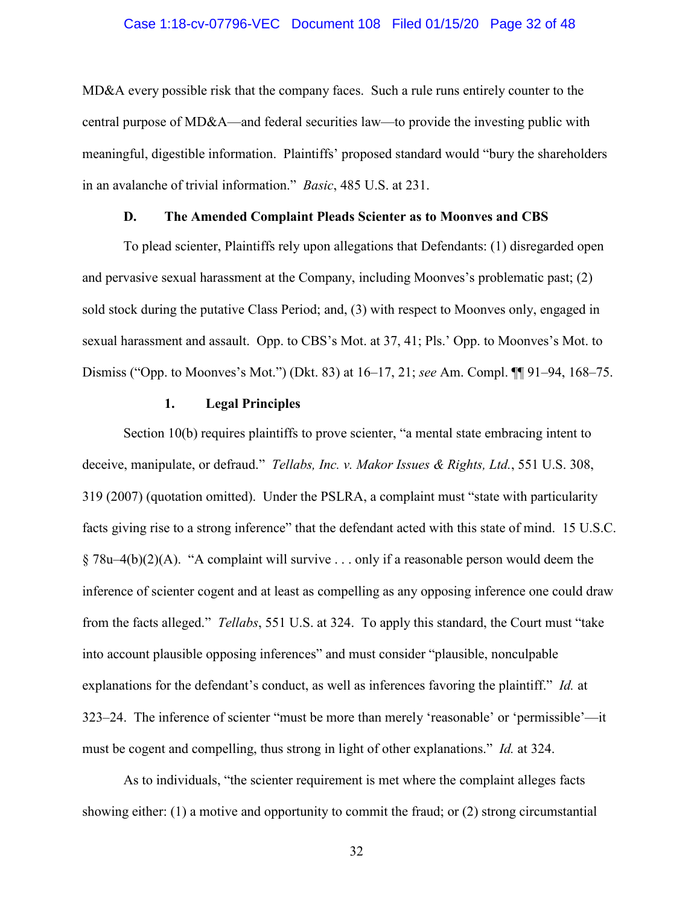### Case 1:18-cv-07796-VEC Document 108 Filed 01/15/20 Page 32 of 48

MD&A every possible risk that the company faces. Such a rule runs entirely counter to the central purpose of MD&A—and federal securities law—to provide the investing public with meaningful, digestible information. Plaintiffs' proposed standard would "bury the shareholders in an avalanche of trivial information." *Basic*, 485 U.S. at 231.

### **D. The Amended Complaint Pleads Scienter as to Moonves and CBS**

To plead scienter, Plaintiffs rely upon allegations that Defendants: (1) disregarded open and pervasive sexual harassment at the Company, including Moonves's problematic past; (2) sold stock during the putative Class Period; and, (3) with respect to Moonves only, engaged in sexual harassment and assault. Opp. to CBS's Mot. at 37, 41; Pls.' Opp. to Moonves's Mot. to Dismiss ("Opp. to Moonves's Mot.") (Dkt. 83) at 16–17, 21; *see* Am. Compl. ¶¶ 91–94, 168–75.

#### **1. Legal Principles**

Section 10(b) requires plaintiffs to prove scienter, "a mental state embracing intent to deceive, manipulate, or defraud." *Tellabs, Inc. v. Makor Issues & Rights, Ltd.*, 551 U.S. 308, 319 (2007) (quotation omitted). Under the PSLRA, a complaint must "state with particularity facts giving rise to a strong inference" that the defendant acted with this state of mind. 15 U.S.C.  $§ 78u-4(b)(2)(A)$ . "A complaint will survive . . . only if a reasonable person would deem the inference of scienter cogent and at least as compelling as any opposing inference one could draw from the facts alleged." *Tellabs*, 551 U.S. at 324. To apply this standard, the Court must "take into account plausible opposing inferences" and must consider "plausible, nonculpable explanations for the defendant's conduct, as well as inferences favoring the plaintiff." *Id.* at 323–24. The inference of scienter "must be more than merely 'reasonable' or 'permissible'—it must be cogent and compelling, thus strong in light of other explanations." *Id.* at 324.

As to individuals, "the scienter requirement is met where the complaint alleges facts showing either: (1) a motive and opportunity to commit the fraud; or (2) strong circumstantial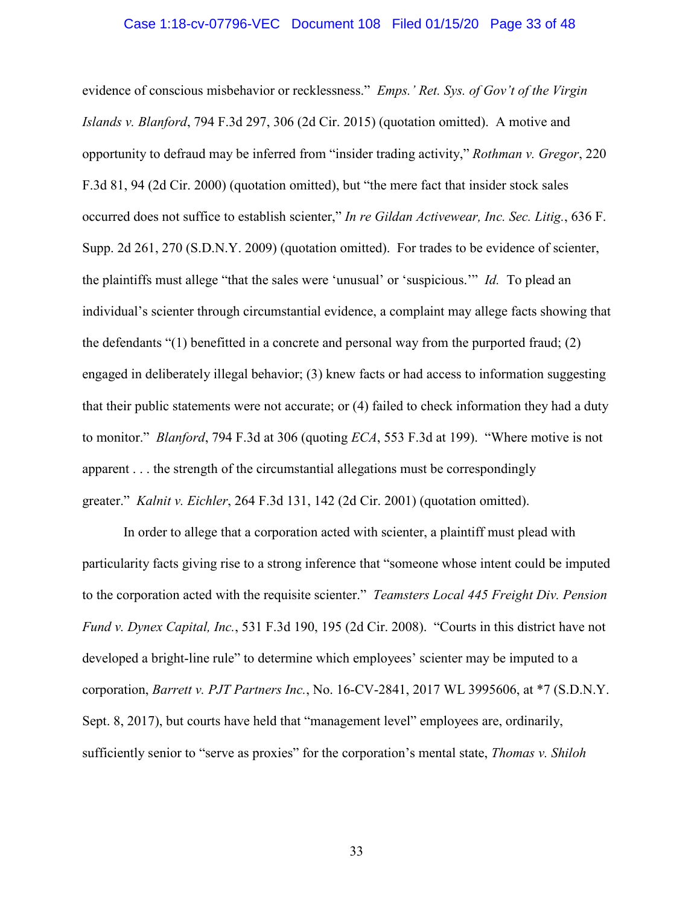### Case 1:18-cv-07796-VEC Document 108 Filed 01/15/20 Page 33 of 48

evidence of conscious misbehavior or recklessness." *Emps.' Ret. Sys. of Gov't of the Virgin Islands v. Blanford*, 794 F.3d 297, 306 (2d Cir. 2015) (quotation omitted). A motive and opportunity to defraud may be inferred from "insider trading activity," *Rothman v. Gregor*, 220 F.3d 81, 94 (2d Cir. 2000) (quotation omitted), but "the mere fact that insider stock sales occurred does not suffice to establish scienter," *In re Gildan Activewear, Inc. Sec. Litig.*, 636 F. Supp. 2d 261, 270 (S.D.N.Y. 2009) (quotation omitted). For trades to be evidence of scienter, the plaintiffs must allege "that the sales were 'unusual' or 'suspicious.'" *Id.* To plead an individual's scienter through circumstantial evidence, a complaint may allege facts showing that the defendants "(1) benefitted in a concrete and personal way from the purported fraud; (2) engaged in deliberately illegal behavior; (3) knew facts or had access to information suggesting that their public statements were not accurate; or (4) failed to check information they had a duty to monitor." *Blanford*, 794 F.3d at 306 (quoting *ECA*, 553 F.3d at 199). "Where motive is not apparent . . . the strength of the circumstantial allegations must be correspondingly greater." *Kalnit v. Eichler*, 264 F.3d 131, 142 (2d Cir. 2001) (quotation omitted).

In order to allege that a corporation acted with scienter, a plaintiff must plead with particularity facts giving rise to a strong inference that "someone whose intent could be imputed to the corporation acted with the requisite scienter." *Teamsters Local 445 Freight Div. Pension Fund v. Dynex Capital, Inc.*, 531 F.3d 190, 195 (2d Cir. 2008). "Courts in this district have not developed a bright-line rule" to determine which employees' scienter may be imputed to a corporation, *Barrett v. PJT Partners Inc.*, No. 16-CV-2841, 2017 WL 3995606, at \*7 (S.D.N.Y. Sept. 8, 2017), but courts have held that "management level" employees are, ordinarily, sufficiently senior to "serve as proxies" for the corporation's mental state, *Thomas v. Shiloh*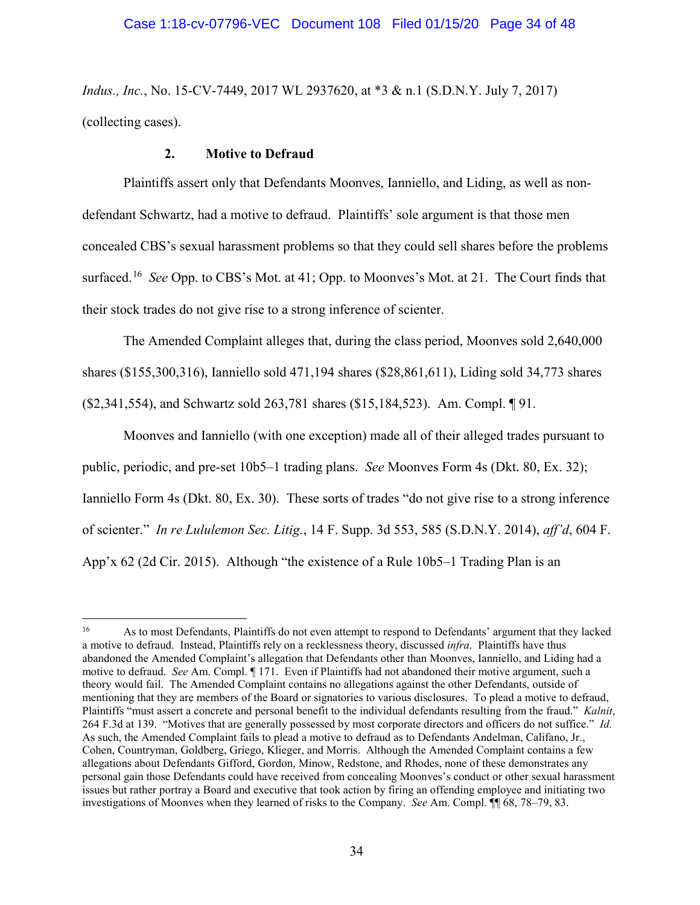*Indus., Inc.*, No. 15-CV-7449, 2017 WL 2937620, at \*3 & n.1 (S.D.N.Y. July 7, 2017) (collecting cases).

# **2. Motive to Defraud**

 $\overline{a}$ 

Plaintiffs assert only that Defendants Moonves, Ianniello, and Liding, as well as nondefendant Schwartz, had a motive to defraud. Plaintiffs' sole argument is that those men concealed CBS's sexual harassment problems so that they could sell shares before the problems surfaced. 16 *See* Opp. to CBS's Mot. at 41; Opp. to Moonves's Mot. at 21. The Court finds that their stock trades do not give rise to a strong inference of scienter.

The Amended Complaint alleges that, during the class period, Moonves sold 2,640,000 shares (\$155,300,316), Ianniello sold 471,194 shares (\$28,861,611), Liding sold 34,773 shares (\$2,341,554), and Schwartz sold 263,781 shares (\$15,184,523). Am. Compl. ¶ 91.

Moonves and Ianniello (with one exception) made all of their alleged trades pursuant to public, periodic, and pre-set 10b5–1 trading plans. *See* Moonves Form 4s (Dkt. 80, Ex. 32); Ianniello Form 4s (Dkt. 80, Ex. 30). These sorts of trades "do not give rise to a strong inference of scienter." *In re Lululemon Sec. Litig.*, 14 F. Supp. 3d 553, 585 (S.D.N.Y. 2014), *aff'd*, 604 F. App'x 62 (2d Cir. 2015). Although "the existence of a Rule 10b5–1 Trading Plan is an

<sup>16</sup> As to most Defendants, Plaintiffs do not even attempt to respond to Defendants' argument that they lacked a motive to defraud. Instead, Plaintiffs rely on a recklessness theory, discussed *infra*. Plaintiffs have thus abandoned the Amended Complaint's allegation that Defendants other than Moonves, Ianniello, and Liding had a motive to defraud. *See* Am. Compl. ¶ 171. Even if Plaintiffs had not abandoned their motive argument, such a theory would fail. The Amended Complaint contains no allegations against the other Defendants, outside of mentioning that they are members of the Board or signatories to various disclosures. To plead a motive to defraud, Plaintiffs "must assert a concrete and personal benefit to the individual defendants resulting from the fraud." *Kalnit*, 264 F.3d at 139. "Motives that are generally possessed by most corporate directors and officers do not suffice." *Id.*  As such, the Amended Complaint fails to plead a motive to defraud as to Defendants Andelman, Califano, Jr., Cohen, Countryman, Goldberg, Griego, Klieger, and Morris. Although the Amended Complaint contains a few allegations about Defendants Gifford, Gordon, Minow, Redstone, and Rhodes, none of these demonstrates any personal gain those Defendants could have received from concealing Moonves's conduct or other sexual harassment issues but rather portray a Board and executive that took action by firing an offending employee and initiating two investigations of Moonves when they learned of risks to the Company. *See* Am. Compl. ¶¶ 68, 78–79, 83.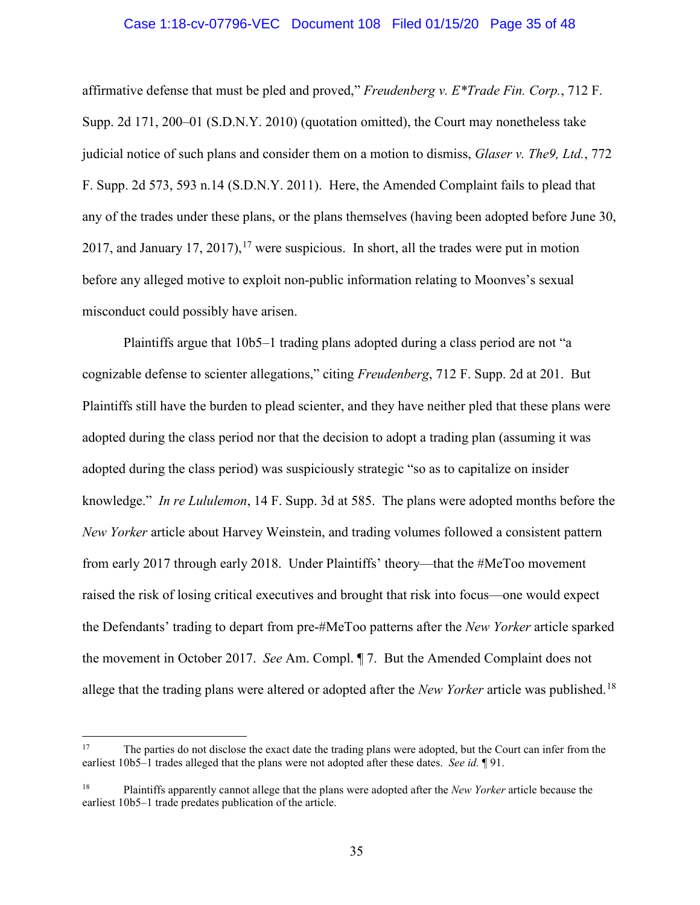### Case 1:18-cv-07796-VEC Document 108 Filed 01/15/20 Page 35 of 48

affirmative defense that must be pled and proved," *Freudenberg v. E\*Trade Fin. Corp.*, 712 F. Supp. 2d 171, 200–01 (S.D.N.Y. 2010) (quotation omitted), the Court may nonetheless take judicial notice of such plans and consider them on a motion to dismiss, *Glaser v. The9, Ltd.*, 772 F. Supp. 2d 573, 593 n.14 (S.D.N.Y. 2011). Here, the Amended Complaint fails to plead that any of the trades under these plans, or the plans themselves (having been adopted before June 30, 2017, and January 17, 2017), <sup>17</sup> were suspicious. In short, all the trades were put in motion before any alleged motive to exploit non-public information relating to Moonves's sexual misconduct could possibly have arisen.

Plaintiffs argue that 10b5–1 trading plans adopted during a class period are not "a cognizable defense to scienter allegations," citing *Freudenberg*, 712 F. Supp. 2d at 201. But Plaintiffs still have the burden to plead scienter, and they have neither pled that these plans were adopted during the class period nor that the decision to adopt a trading plan (assuming it was adopted during the class period) was suspiciously strategic "so as to capitalize on insider knowledge." *In re Lululemon*, 14 F. Supp. 3d at 585. The plans were adopted months before the *New Yorker* article about Harvey Weinstein, and trading volumes followed a consistent pattern from early 2017 through early 2018. Under Plaintiffs' theory—that the #MeToo movement raised the risk of losing critical executives and brought that risk into focus—one would expect the Defendants' trading to depart from pre-#MeToo patterns after the *New Yorker* article sparked the movement in October 2017. *See* Am. Compl. ¶ 7. But the Amended Complaint does not allege that the trading plans were altered or adopted after the *New Yorker* article was published.18

 $17\,$ 17 The parties do not disclose the exact date the trading plans were adopted, but the Court can infer from the earliest 10b5–1 trades alleged that the plans were not adopted after these dates. *See id.* ¶ 91.

<sup>18</sup> Plaintiffs apparently cannot allege that the plans were adopted after the *New Yorker* article because the earliest 10b5–1 trade predates publication of the article.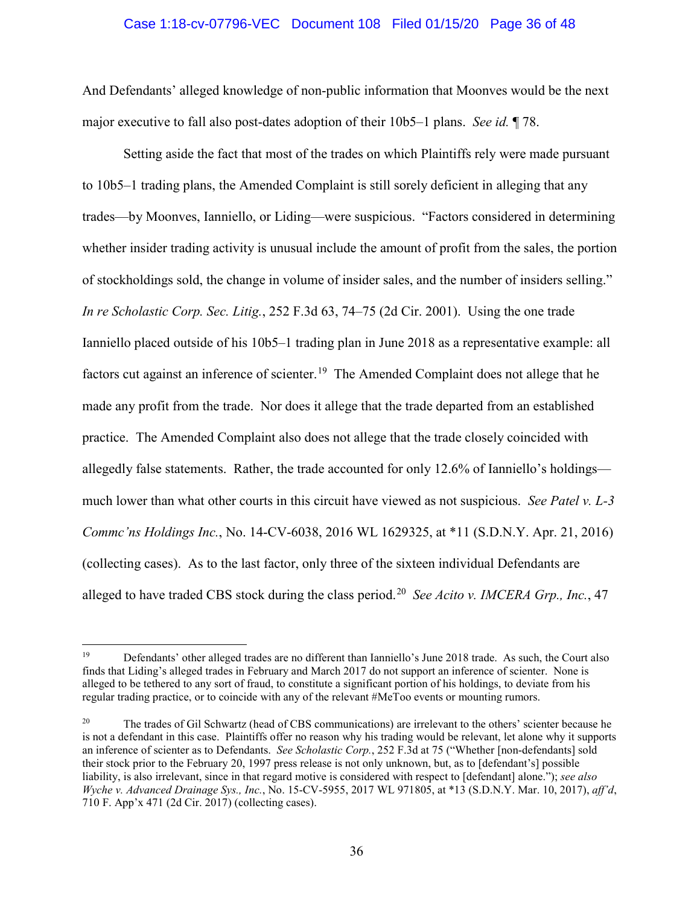### Case 1:18-cv-07796-VEC Document 108 Filed 01/15/20 Page 36 of 48

And Defendants' alleged knowledge of non-public information that Moonves would be the next major executive to fall also post-dates adoption of their 10b5–1 plans. *See id.* ¶ 78.

Setting aside the fact that most of the trades on which Plaintiffs rely were made pursuant to 10b5–1 trading plans, the Amended Complaint is still sorely deficient in alleging that any trades—by Moonves, Ianniello, or Liding—were suspicious. "Factors considered in determining whether insider trading activity is unusual include the amount of profit from the sales, the portion of stockholdings sold, the change in volume of insider sales, and the number of insiders selling." *In re Scholastic Corp. Sec. Litig.*, 252 F.3d 63, 74–75 (2d Cir. 2001). Using the one trade Ianniello placed outside of his 10b5–1 trading plan in June 2018 as a representative example: all factors cut against an inference of scienter.<sup>19</sup> The Amended Complaint does not allege that he made any profit from the trade. Nor does it allege that the trade departed from an established practice. The Amended Complaint also does not allege that the trade closely coincided with allegedly false statements. Rather, the trade accounted for only 12.6% of Ianniello's holdings much lower than what other courts in this circuit have viewed as not suspicious. *See Patel v. L-3 Commc'ns Holdings Inc.*, No. 14-CV-6038, 2016 WL 1629325, at \*11 (S.D.N.Y. Apr. 21, 2016) (collecting cases). As to the last factor, only three of the sixteen individual Defendants are alleged to have traded CBS stock during the class period.20 *See Acito v. IMCERA Grp., Inc.*, 47

 $19\,$ 19 Defendants' other alleged trades are no different than Ianniello's June 2018 trade. As such, the Court also finds that Liding's alleged trades in February and March 2017 do not support an inference of scienter. None is alleged to be tethered to any sort of fraud, to constitute a significant portion of his holdings, to deviate from his regular trading practice, or to coincide with any of the relevant #MeToo events or mounting rumors.

<sup>&</sup>lt;sup>20</sup> The trades of Gil Schwartz (head of CBS communications) are irrelevant to the others' scienter because he is not a defendant in this case. Plaintiffs offer no reason why his trading would be relevant, let alone why it supports an inference of scienter as to Defendants. *See Scholastic Corp.*, 252 F.3d at 75 ("Whether [non-defendants] sold their stock prior to the February 20, 1997 press release is not only unknown, but, as to [defendant's] possible liability, is also irrelevant, since in that regard motive is considered with respect to [defendant] alone."); *see also Wyche v. Advanced Drainage Sys., Inc.*, No. 15-CV-5955, 2017 WL 971805, at \*13 (S.D.N.Y. Mar. 10, 2017), *aff'd*, 710 F. App'x 471 (2d Cir. 2017) (collecting cases).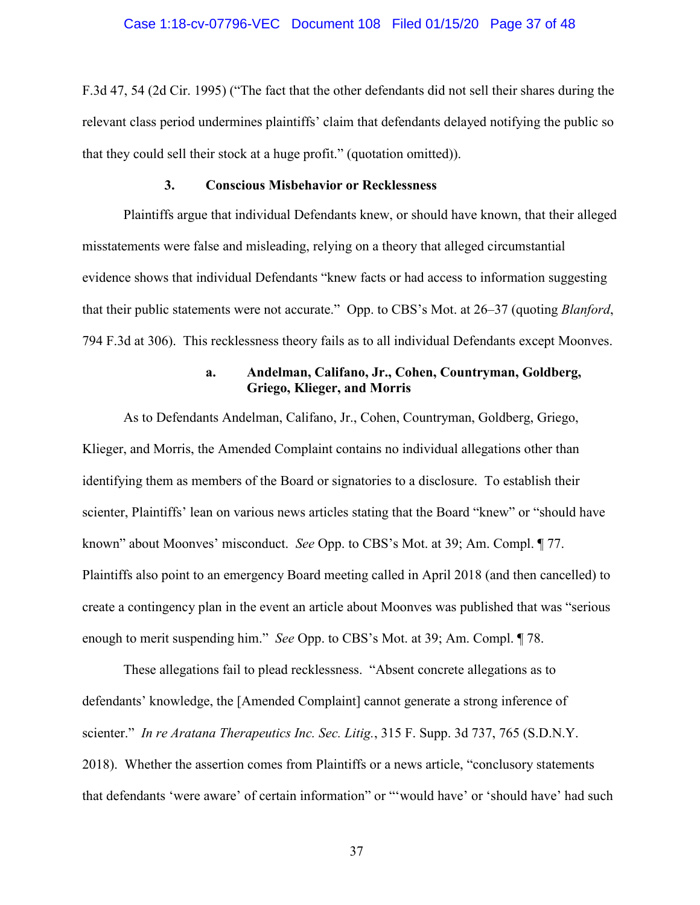F.3d 47, 54 (2d Cir. 1995) ("The fact that the other defendants did not sell their shares during the relevant class period undermines plaintiffs' claim that defendants delayed notifying the public so that they could sell their stock at a huge profit." (quotation omitted)).

# **3. Conscious Misbehavior or Recklessness**

Plaintiffs argue that individual Defendants knew, or should have known, that their alleged misstatements were false and misleading, relying on a theory that alleged circumstantial evidence shows that individual Defendants "knew facts or had access to information suggesting that their public statements were not accurate." Opp. to CBS's Mot. at 26–37 (quoting *Blanford*, 794 F.3d at 306). This recklessness theory fails as to all individual Defendants except Moonves.

# **a. Andelman, Califano, Jr., Cohen, Countryman, Goldberg, Griego, Klieger, and Morris**

As to Defendants Andelman, Califano, Jr., Cohen, Countryman, Goldberg, Griego, Klieger, and Morris, the Amended Complaint contains no individual allegations other than identifying them as members of the Board or signatories to a disclosure. To establish their scienter, Plaintiffs' lean on various news articles stating that the Board "knew" or "should have known" about Moonves' misconduct. *See* Opp. to CBS's Mot. at 39; Am. Compl. ¶ 77. Plaintiffs also point to an emergency Board meeting called in April 2018 (and then cancelled) to create a contingency plan in the event an article about Moonves was published that was "serious enough to merit suspending him." *See* Opp. to CBS's Mot. at 39; Am. Compl. ¶ 78.

These allegations fail to plead recklessness. "Absent concrete allegations as to defendants' knowledge, the [Amended Complaint] cannot generate a strong inference of scienter." *In re Aratana Therapeutics Inc. Sec. Litig.*, 315 F. Supp. 3d 737, 765 (S.D.N.Y. 2018). Whether the assertion comes from Plaintiffs or a news article, "conclusory statements that defendants 'were aware' of certain information" or "'would have' or 'should have' had such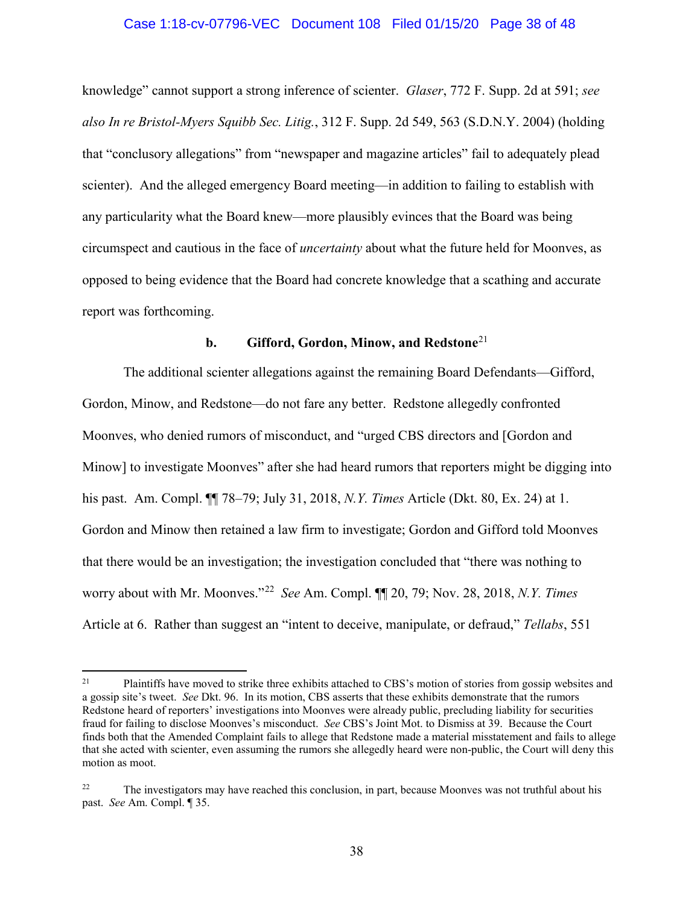# Case 1:18-cv-07796-VEC Document 108 Filed 01/15/20 Page 38 of 48

knowledge" cannot support a strong inference of scienter. *Glaser*, 772 F. Supp. 2d at 591; *see also In re Bristol-Myers Squibb Sec. Litig.*, 312 F. Supp. 2d 549, 563 (S.D.N.Y. 2004) (holding that "conclusory allegations" from "newspaper and magazine articles" fail to adequately plead scienter). And the alleged emergency Board meeting—in addition to failing to establish with any particularity what the Board knew—more plausibly evinces that the Board was being circumspect and cautious in the face of *uncertainty* about what the future held for Moonves, as opposed to being evidence that the Board had concrete knowledge that a scathing and accurate report was forthcoming.

### **b. Gifford, Gordon, Minow, and Redstone**<sup>21</sup>

The additional scienter allegations against the remaining Board Defendants—Gifford, Gordon, Minow, and Redstone—do not fare any better. Redstone allegedly confronted Moonves, who denied rumors of misconduct, and "urged CBS directors and [Gordon and Minow] to investigate Moonves" after she had heard rumors that reporters might be digging into his past. Am. Compl. ¶¶ 78–79; July 31, 2018, *N.Y. Times* Article (Dkt. 80, Ex. 24) at 1. Gordon and Minow then retained a law firm to investigate; Gordon and Gifford told Moonves that there would be an investigation; the investigation concluded that "there was nothing to worry about with Mr. Moonves."22 *See* Am. Compl. ¶¶ 20, 79; Nov. 28, 2018, *N.Y. Times*  Article at 6. Rather than suggest an "intent to deceive, manipulate, or defraud," *Tellabs*, 551

 $\overline{a}$ 

<sup>&</sup>lt;sup>21</sup> Plaintiffs have moved to strike three exhibits attached to CBS's motion of stories from gossip websites and a gossip site's tweet. *See* Dkt. 96. In its motion, CBS asserts that these exhibits demonstrate that the rumors Redstone heard of reporters' investigations into Moonves were already public, precluding liability for securities fraud for failing to disclose Moonves's misconduct. *See* CBS's Joint Mot. to Dismiss at 39. Because the Court finds both that the Amended Complaint fails to allege that Redstone made a material misstatement and fails to allege that she acted with scienter, even assuming the rumors she allegedly heard were non-public, the Court will deny this motion as moot.

<sup>&</sup>lt;sup>22</sup> The investigators may have reached this conclusion, in part, because Moonves was not truthful about his past. *See* Am. Compl. ¶ 35.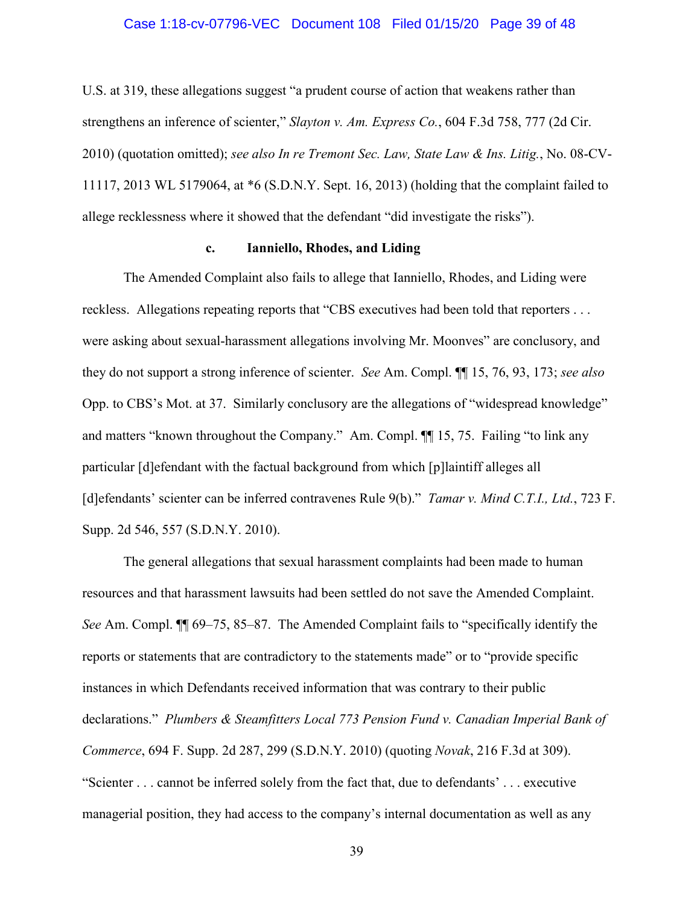### Case 1:18-cv-07796-VEC Document 108 Filed 01/15/20 Page 39 of 48

U.S. at 319, these allegations suggest "a prudent course of action that weakens rather than strengthens an inference of scienter," *Slayton v. Am. Express Co.*, 604 F.3d 758, 777 (2d Cir. 2010) (quotation omitted); *see also In re Tremont Sec. Law, State Law & Ins. Litig.*, No. 08-CV-11117, 2013 WL 5179064, at \*6 (S.D.N.Y. Sept. 16, 2013) (holding that the complaint failed to allege recklessness where it showed that the defendant "did investigate the risks").

### **c. Ianniello, Rhodes, and Liding**

The Amended Complaint also fails to allege that Ianniello, Rhodes, and Liding were reckless. Allegations repeating reports that "CBS executives had been told that reporters . . . were asking about sexual-harassment allegations involving Mr. Moonves" are conclusory, and they do not support a strong inference of scienter. *See* Am. Compl. ¶¶ 15, 76, 93, 173; *see also*  Opp. to CBS's Mot. at 37. Similarly conclusory are the allegations of "widespread knowledge" and matters "known throughout the Company." Am. Compl. ¶¶ 15, 75. Failing "to link any particular [d]efendant with the factual background from which [p]laintiff alleges all [d]efendants' scienter can be inferred contravenes Rule 9(b)." *Tamar v. Mind C.T.I., Ltd.*, 723 F. Supp. 2d 546, 557 (S.D.N.Y. 2010).

The general allegations that sexual harassment complaints had been made to human resources and that harassment lawsuits had been settled do not save the Amended Complaint. *See* Am. Compl. ¶¶ 69–75, 85–87. The Amended Complaint fails to "specifically identify the reports or statements that are contradictory to the statements made" or to "provide specific instances in which Defendants received information that was contrary to their public declarations." *Plumbers & Steamfitters Local 773 Pension Fund v. Canadian Imperial Bank of Commerce*, 694 F. Supp. 2d 287, 299 (S.D.N.Y. 2010) (quoting *Novak*, 216 F.3d at 309). "Scienter . . . cannot be inferred solely from the fact that, due to defendants' . . . executive managerial position, they had access to the company's internal documentation as well as any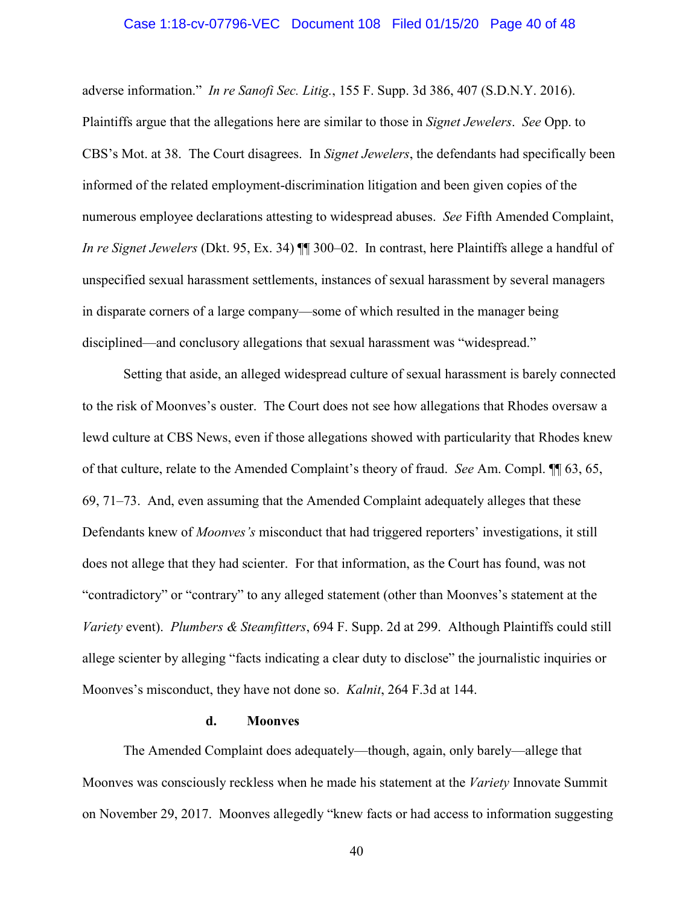### Case 1:18-cv-07796-VEC Document 108 Filed 01/15/20 Page 40 of 48

adverse information." *In re Sanofi Sec. Litig.*, 155 F. Supp. 3d 386, 407 (S.D.N.Y. 2016). Plaintiffs argue that the allegations here are similar to those in *Signet Jewelers*. *See* Opp. to CBS's Mot. at 38. The Court disagrees. In *Signet Jewelers*, the defendants had specifically been informed of the related employment-discrimination litigation and been given copies of the numerous employee declarations attesting to widespread abuses. *See* Fifth Amended Complaint, *In re Signet Jewelers* (Dkt. 95, Ex. 34) ¶¶ 300–02. In contrast, here Plaintiffs allege a handful of unspecified sexual harassment settlements, instances of sexual harassment by several managers in disparate corners of a large company—some of which resulted in the manager being disciplined—and conclusory allegations that sexual harassment was "widespread."

Setting that aside, an alleged widespread culture of sexual harassment is barely connected to the risk of Moonves's ouster. The Court does not see how allegations that Rhodes oversaw a lewd culture at CBS News, even if those allegations showed with particularity that Rhodes knew of that culture, relate to the Amended Complaint's theory of fraud. *See* Am. Compl. ¶¶ 63, 65, 69, 71–73. And, even assuming that the Amended Complaint adequately alleges that these Defendants knew of *Moonves's* misconduct that had triggered reporters' investigations, it still does not allege that they had scienter. For that information, as the Court has found, was not "contradictory" or "contrary" to any alleged statement (other than Moonves's statement at the *Variety* event). *Plumbers & Steamfitters*, 694 F. Supp. 2d at 299. Although Plaintiffs could still allege scienter by alleging "facts indicating a clear duty to disclose" the journalistic inquiries or Moonves's misconduct, they have not done so. *Kalnit*, 264 F.3d at 144.

#### **d. Moonves**

The Amended Complaint does adequately—though, again, only barely—allege that Moonves was consciously reckless when he made his statement at the *Variety* Innovate Summit on November 29, 2017. Moonves allegedly "knew facts or had access to information suggesting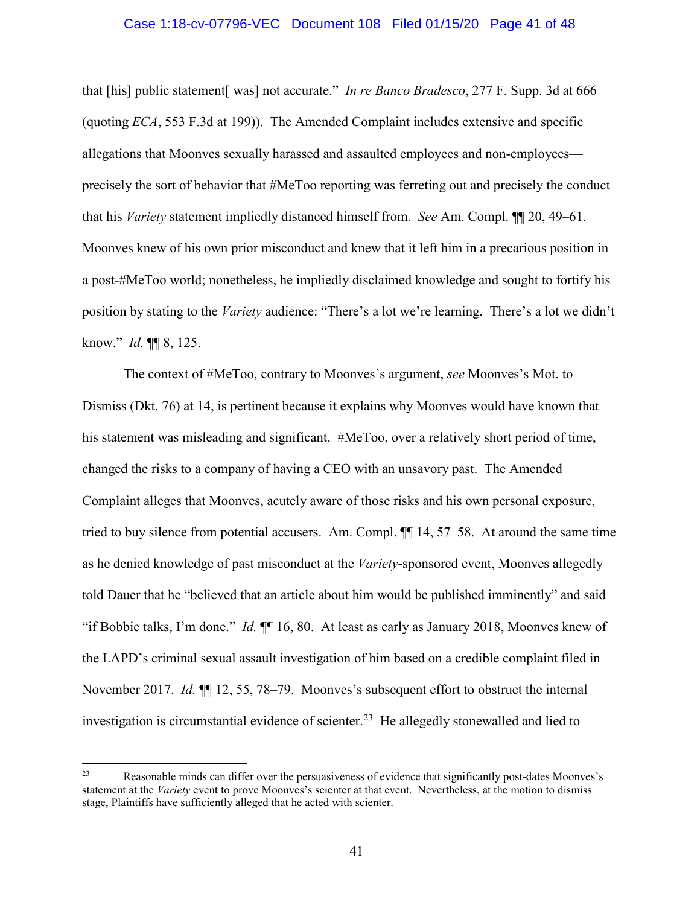### Case 1:18-cv-07796-VEC Document 108 Filed 01/15/20 Page 41 of 48

that [his] public statement[ was] not accurate." *In re Banco Bradesco*, 277 F. Supp. 3d at 666 (quoting *ECA*, 553 F.3d at 199)). The Amended Complaint includes extensive and specific allegations that Moonves sexually harassed and assaulted employees and non-employees precisely the sort of behavior that #MeToo reporting was ferreting out and precisely the conduct that his *Variety* statement impliedly distanced himself from. *See* Am. Compl. ¶¶ 20, 49–61. Moonves knew of his own prior misconduct and knew that it left him in a precarious position in a post-#MeToo world; nonetheless, he impliedly disclaimed knowledge and sought to fortify his position by stating to the *Variety* audience: "There's a lot we're learning. There's a lot we didn't know." *Id.* ¶¶ 8, 125.

The context of #MeToo, contrary to Moonves's argument, *see* Moonves's Mot. to Dismiss (Dkt. 76) at 14, is pertinent because it explains why Moonves would have known that his statement was misleading and significant. #MeToo, over a relatively short period of time, changed the risks to a company of having a CEO with an unsavory past. The Amended Complaint alleges that Moonves, acutely aware of those risks and his own personal exposure, tried to buy silence from potential accusers. Am. Compl. ¶¶ 14, 57–58. At around the same time as he denied knowledge of past misconduct at the *Variety*-sponsored event, Moonves allegedly told Dauer that he "believed that an article about him would be published imminently" and said "if Bobbie talks, I'm done." *Id.* ¶¶ 16, 80. At least as early as January 2018, Moonves knew of the LAPD's criminal sexual assault investigation of him based on a credible complaint filed in November 2017. *Id.* ¶¶ 12, 55, 78–79. Moonves's subsequent effort to obstruct the internal investigation is circumstantial evidence of scienter.<sup>23</sup> He allegedly stonewalled and lied to

<sup>23</sup> Reasonable minds can differ over the persuasiveness of evidence that significantly post-dates Moonves's statement at the *Variety* event to prove Moonves's scienter at that event. Nevertheless, at the motion to dismiss stage, Plaintiffs have sufficiently alleged that he acted with scienter.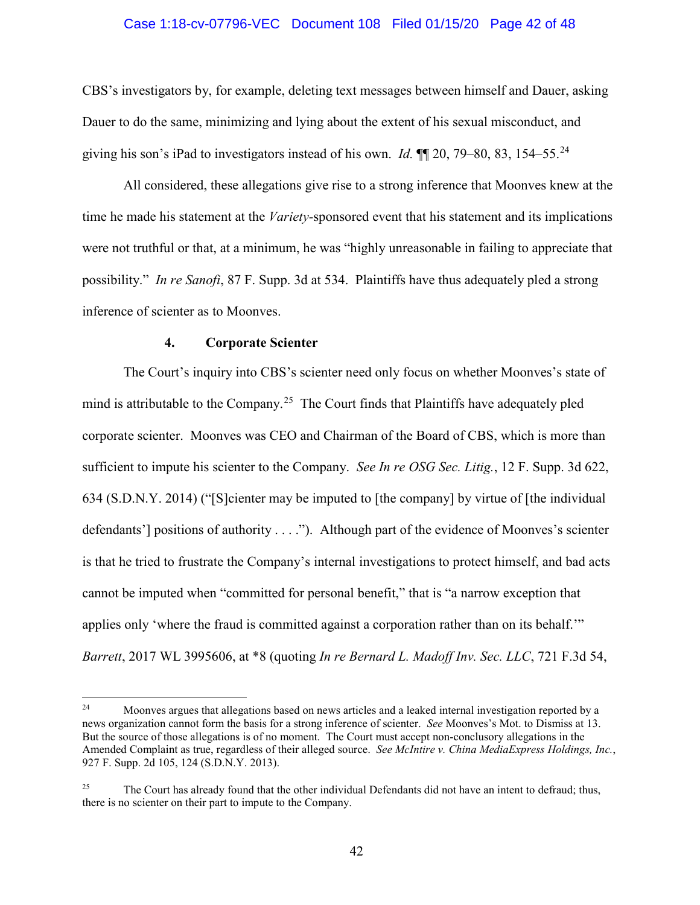### Case 1:18-cv-07796-VEC Document 108 Filed 01/15/20 Page 42 of 48

CBS's investigators by, for example, deleting text messages between himself and Dauer, asking Dauer to do the same, minimizing and lying about the extent of his sexual misconduct, and giving his son's iPad to investigators instead of his own. *Id.* ¶¶ 20, 79–80, 83, 154–55.<sup>24</sup>

All considered, these allegations give rise to a strong inference that Moonves knew at the time he made his statement at the *Variety-*sponsored event that his statement and its implications were not truthful or that, at a minimum, he was "highly unreasonable in failing to appreciate that possibility." *In re Sanofi*, 87 F. Supp. 3d at 534. Plaintiffs have thus adequately pled a strong inference of scienter as to Moonves.

### **4. Corporate Scienter**

The Court's inquiry into CBS's scienter need only focus on whether Moonves's state of mind is attributable to the Company.<sup>25</sup> The Court finds that Plaintiffs have adequately pled corporate scienter. Moonves was CEO and Chairman of the Board of CBS, which is more than sufficient to impute his scienter to the Company. *See In re OSG Sec. Litig.*, 12 F. Supp. 3d 622, 634 (S.D.N.Y. 2014) ("[S]cienter may be imputed to [the company] by virtue of [the individual defendants'] positions of authority . . . ."). Although part of the evidence of Moonves's scienter is that he tried to frustrate the Company's internal investigations to protect himself, and bad acts cannot be imputed when "committed for personal benefit," that is "a narrow exception that applies only 'where the fraud is committed against a corporation rather than on its behalf.'" *Barrett*, 2017 WL 3995606, at \*8 (quoting *In re Bernard L. Madoff Inv. Sec. LLC*, 721 F.3d 54,

 $24$ Moonves argues that allegations based on news articles and a leaked internal investigation reported by a news organization cannot form the basis for a strong inference of scienter. *See* Moonves's Mot. to Dismiss at 13. But the source of those allegations is of no moment. The Court must accept non-conclusory allegations in the Amended Complaint as true, regardless of their alleged source. *See McIntire v. China MediaExpress Holdings, Inc.*, 927 F. Supp. 2d 105, 124 (S.D.N.Y. 2013).

<sup>&</sup>lt;sup>25</sup> The Court has already found that the other individual Defendants did not have an intent to defraud; thus, there is no scienter on their part to impute to the Company.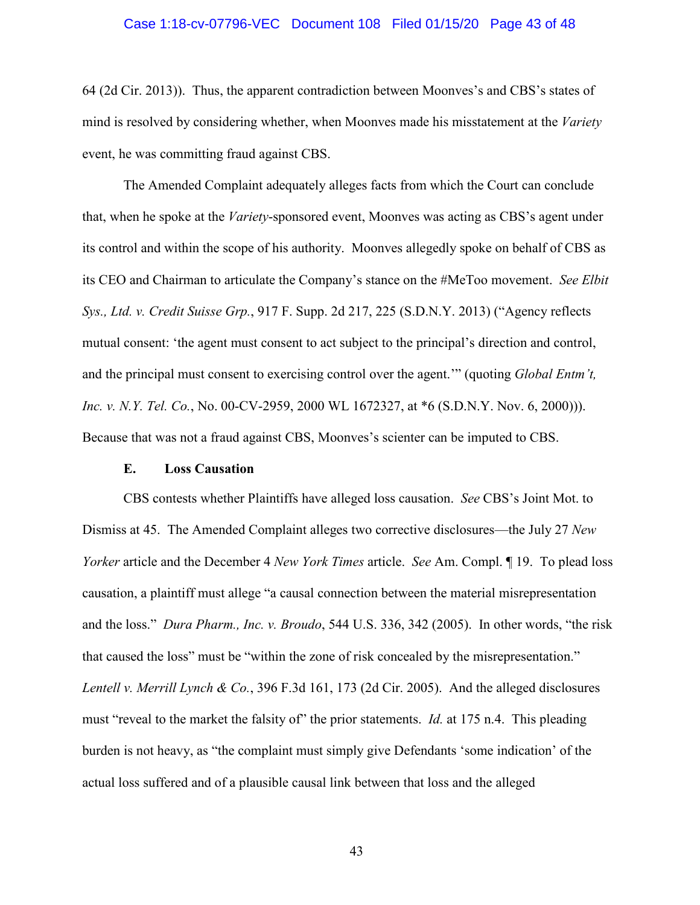### Case 1:18-cv-07796-VEC Document 108 Filed 01/15/20 Page 43 of 48

64 (2d Cir. 2013)). Thus, the apparent contradiction between Moonves's and CBS's states of mind is resolved by considering whether, when Moonves made his misstatement at the *Variety* event, he was committing fraud against CBS.

The Amended Complaint adequately alleges facts from which the Court can conclude that, when he spoke at the *Variety*-sponsored event, Moonves was acting as CBS's agent under its control and within the scope of his authority. Moonves allegedly spoke on behalf of CBS as its CEO and Chairman to articulate the Company's stance on the #MeToo movement. *See Elbit Sys., Ltd. v. Credit Suisse Grp.*, 917 F. Supp. 2d 217, 225 (S.D.N.Y. 2013) ("Agency reflects mutual consent: 'the agent must consent to act subject to the principal's direction and control, and the principal must consent to exercising control over the agent.'" (quoting *Global Entm't, Inc. v. N.Y. Tel. Co.*, No. 00-CV-2959, 2000 WL 1672327, at \*6 (S.D.N.Y. Nov. 6, 2000))). Because that was not a fraud against CBS, Moonves's scienter can be imputed to CBS.

#### **E. Loss Causation**

CBS contests whether Plaintiffs have alleged loss causation. *See* CBS's Joint Mot. to Dismiss at 45. The Amended Complaint alleges two corrective disclosures—the July 27 *New Yorker* article and the December 4 *New York Times* article. *See* Am. Compl. ¶ 19. To plead loss causation, a plaintiff must allege "a causal connection between the material misrepresentation and the loss." *Dura Pharm., Inc. v. Broudo*, 544 U.S. 336, 342 (2005). In other words, "the risk that caused the loss" must be "within the zone of risk concealed by the misrepresentation." *Lentell v. Merrill Lynch & Co.*, 396 F.3d 161, 173 (2d Cir. 2005). And the alleged disclosures must "reveal to the market the falsity of" the prior statements. *Id.* at 175 n.4. This pleading burden is not heavy, as "the complaint must simply give Defendants 'some indication' of the actual loss suffered and of a plausible causal link between that loss and the alleged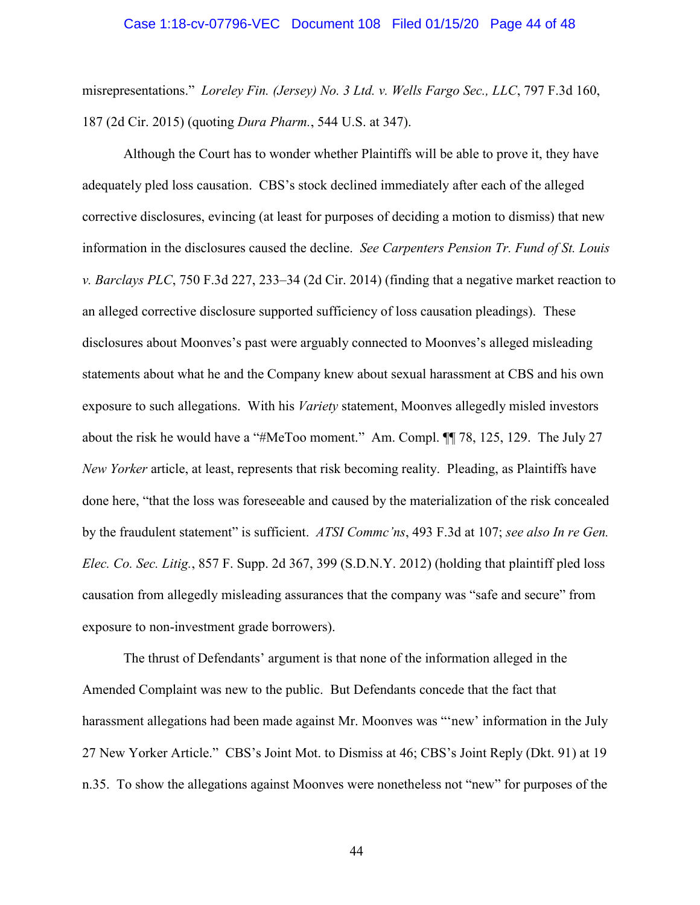### Case 1:18-cv-07796-VEC Document 108 Filed 01/15/20 Page 44 of 48

misrepresentations." *Loreley Fin. (Jersey) No. 3 Ltd. v. Wells Fargo Sec., LLC*, 797 F.3d 160, 187 (2d Cir. 2015) (quoting *Dura Pharm.*, 544 U.S. at 347).

Although the Court has to wonder whether Plaintiffs will be able to prove it, they have adequately pled loss causation. CBS's stock declined immediately after each of the alleged corrective disclosures, evincing (at least for purposes of deciding a motion to dismiss) that new information in the disclosures caused the decline. *See Carpenters Pension Tr. Fund of St. Louis v. Barclays PLC*, 750 F.3d 227, 233–34 (2d Cir. 2014) (finding that a negative market reaction to an alleged corrective disclosure supported sufficiency of loss causation pleadings). These disclosures about Moonves's past were arguably connected to Moonves's alleged misleading statements about what he and the Company knew about sexual harassment at CBS and his own exposure to such allegations. With his *Variety* statement, Moonves allegedly misled investors about the risk he would have a "#MeToo moment." Am. Compl. ¶¶ 78, 125, 129. The July 27 *New Yorker* article, at least, represents that risk becoming reality. Pleading, as Plaintiffs have done here, "that the loss was foreseeable and caused by the materialization of the risk concealed by the fraudulent statement" is sufficient. *ATSI Commc'ns*, 493 F.3d at 107; *see also In re Gen. Elec. Co. Sec. Litig.*, 857 F. Supp. 2d 367, 399 (S.D.N.Y. 2012) (holding that plaintiff pled loss causation from allegedly misleading assurances that the company was "safe and secure" from exposure to non-investment grade borrowers).

The thrust of Defendants' argument is that none of the information alleged in the Amended Complaint was new to the public. But Defendants concede that the fact that harassment allegations had been made against Mr. Moonves was "'new' information in the July 27 New Yorker Article." CBS's Joint Mot. to Dismiss at 46; CBS's Joint Reply (Dkt. 91) at 19 n.35. To show the allegations against Moonves were nonetheless not "new" for purposes of the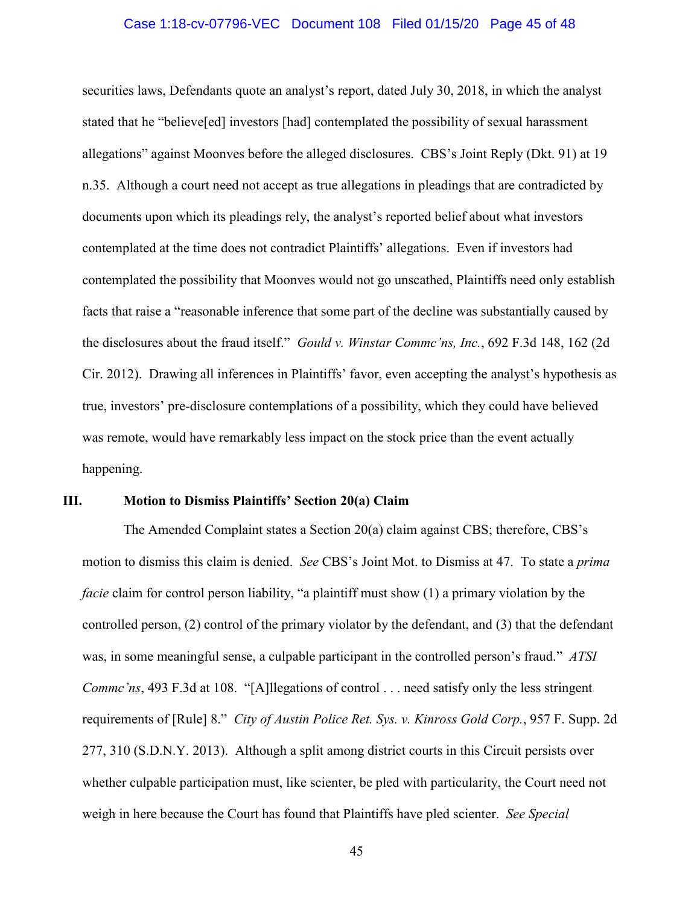### Case 1:18-cv-07796-VEC Document 108 Filed 01/15/20 Page 45 of 48

securities laws, Defendants quote an analyst's report, dated July 30, 2018, in which the analyst stated that he "believe[ed] investors [had] contemplated the possibility of sexual harassment allegations" against Moonves before the alleged disclosures. CBS's Joint Reply (Dkt. 91) at 19 n.35. Although a court need not accept as true allegations in pleadings that are contradicted by documents upon which its pleadings rely, the analyst's reported belief about what investors contemplated at the time does not contradict Plaintiffs' allegations. Even if investors had contemplated the possibility that Moonves would not go unscathed, Plaintiffs need only establish facts that raise a "reasonable inference that some part of the decline was substantially caused by the disclosures about the fraud itself." *Gould v. Winstar Commc'ns, Inc.*, 692 F.3d 148, 162 (2d Cir. 2012). Drawing all inferences in Plaintiffs' favor, even accepting the analyst's hypothesis as true, investors' pre-disclosure contemplations of a possibility, which they could have believed was remote, would have remarkably less impact on the stock price than the event actually happening.

### **III. Motion to Dismiss Plaintiffs' Section 20(a) Claim**

The Amended Complaint states a Section 20(a) claim against CBS; therefore, CBS's motion to dismiss this claim is denied. *See* CBS's Joint Mot. to Dismiss at 47. To state a *prima facie* claim for control person liability, "a plaintiff must show (1) a primary violation by the controlled person, (2) control of the primary violator by the defendant, and (3) that the defendant was, in some meaningful sense, a culpable participant in the controlled person's fraud." *ATSI Commc'ns*, 493 F.3d at 108. "[A]llegations of control . . . need satisfy only the less stringent requirements of [Rule] 8." *City of Austin Police Ret. Sys. v. Kinross Gold Corp.*, 957 F. Supp. 2d 277, 310 (S.D.N.Y. 2013). Although a split among district courts in this Circuit persists over whether culpable participation must, like scienter, be pled with particularity, the Court need not weigh in here because the Court has found that Plaintiffs have pled scienter. *See Special*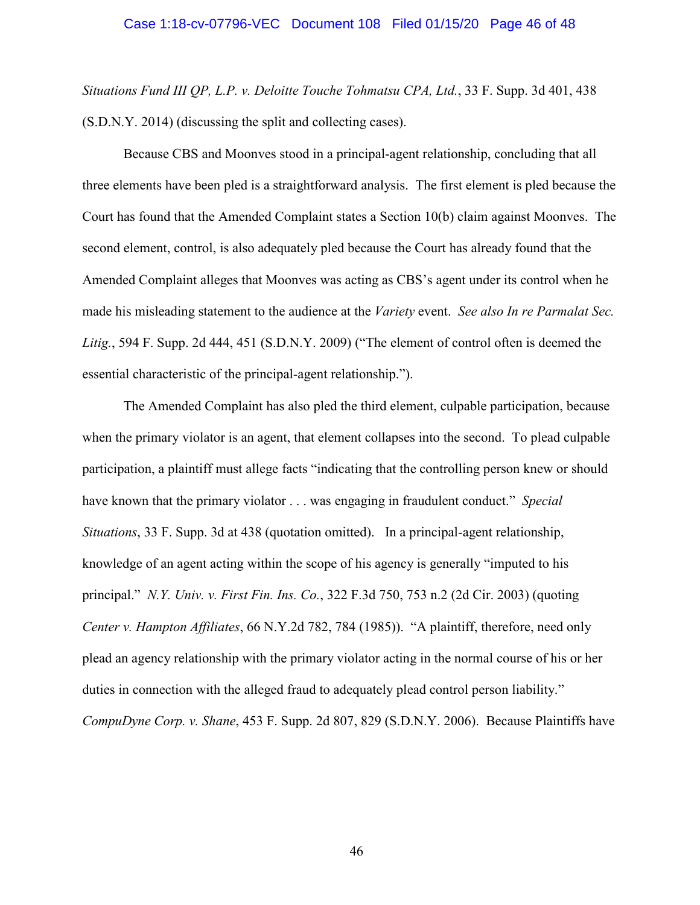*Situations Fund III QP, L.P. v. Deloitte Touche Tohmatsu CPA, Ltd.*, 33 F. Supp. 3d 401, 438 (S.D.N.Y. 2014) (discussing the split and collecting cases).

Because CBS and Moonves stood in a principal-agent relationship, concluding that all three elements have been pled is a straightforward analysis. The first element is pled because the Court has found that the Amended Complaint states a Section 10(b) claim against Moonves. The second element, control, is also adequately pled because the Court has already found that the Amended Complaint alleges that Moonves was acting as CBS's agent under its control when he made his misleading statement to the audience at the *Variety* event. *See also In re Parmalat Sec. Litig.*, 594 F. Supp. 2d 444, 451 (S.D.N.Y. 2009) ("The element of control often is deemed the essential characteristic of the principal-agent relationship.").

The Amended Complaint has also pled the third element, culpable participation, because when the primary violator is an agent, that element collapses into the second. To plead culpable participation, a plaintiff must allege facts "indicating that the controlling person knew or should have known that the primary violator . . . was engaging in fraudulent conduct." *Special Situations*, 33 F. Supp. 3d at 438 (quotation omitted). In a principal-agent relationship, knowledge of an agent acting within the scope of his agency is generally "imputed to his principal." *N.Y. Univ. v. First Fin. Ins. Co.*, 322 F.3d 750, 753 n.2 (2d Cir. 2003) (quoting *Center v. Hampton Affiliates*, 66 N.Y.2d 782, 784 (1985)). "A plaintiff, therefore, need only plead an agency relationship with the primary violator acting in the normal course of his or her duties in connection with the alleged fraud to adequately plead control person liability." *CompuDyne Corp. v. Shane*, 453 F. Supp. 2d 807, 829 (S.D.N.Y. 2006). Because Plaintiffs have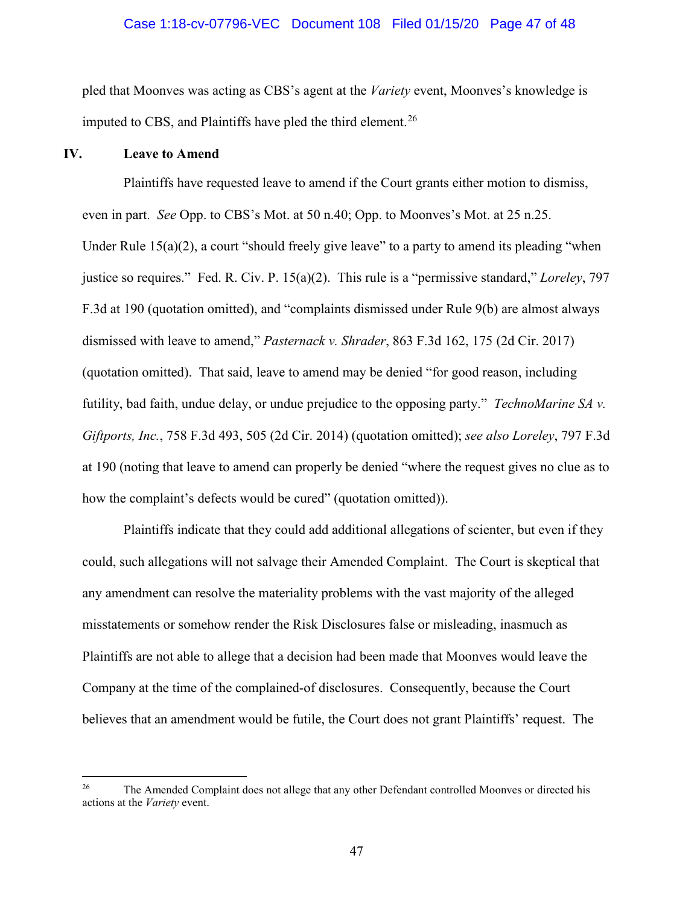### Case 1:18-cv-07796-VEC Document 108 Filed 01/15/20 Page 47 of 48

pled that Moonves was acting as CBS's agent at the *Variety* event, Moonves's knowledge is imputed to CBS, and Plaintiffs have pled the third element.<sup>26</sup>

# **IV. Leave to Amend**

 $\overline{a}$ 

Plaintiffs have requested leave to amend if the Court grants either motion to dismiss, even in part. *See* Opp. to CBS's Mot. at 50 n.40; Opp. to Moonves's Mot. at 25 n.25. Under Rule 15(a)(2), a court "should freely give leave" to a party to amend its pleading "when justice so requires." Fed. R. Civ. P. 15(a)(2). This rule is a "permissive standard," *Loreley*, 797 F.3d at 190 (quotation omitted), and "complaints dismissed under Rule 9(b) are almost always dismissed with leave to amend," *Pasternack v. Shrader*, 863 F.3d 162, 175 (2d Cir. 2017) (quotation omitted). That said, leave to amend may be denied "for good reason, including futility, bad faith, undue delay, or undue prejudice to the opposing party." *TechnoMarine SA v. Giftports, Inc.*, 758 F.3d 493, 505 (2d Cir. 2014) (quotation omitted); *see also Loreley*, 797 F.3d at 190 (noting that leave to amend can properly be denied "where the request gives no clue as to how the complaint's defects would be cured" (quotation omitted)).

Plaintiffs indicate that they could add additional allegations of scienter, but even if they could, such allegations will not salvage their Amended Complaint. The Court is skeptical that any amendment can resolve the materiality problems with the vast majority of the alleged misstatements or somehow render the Risk Disclosures false or misleading, inasmuch as Plaintiffs are not able to allege that a decision had been made that Moonves would leave the Company at the time of the complained-of disclosures. Consequently, because the Court believes that an amendment would be futile, the Court does not grant Plaintiffs' request. The

<sup>&</sup>lt;sup>26</sup> The Amended Complaint does not allege that any other Defendant controlled Moonves or directed his actions at the *Variety* event.